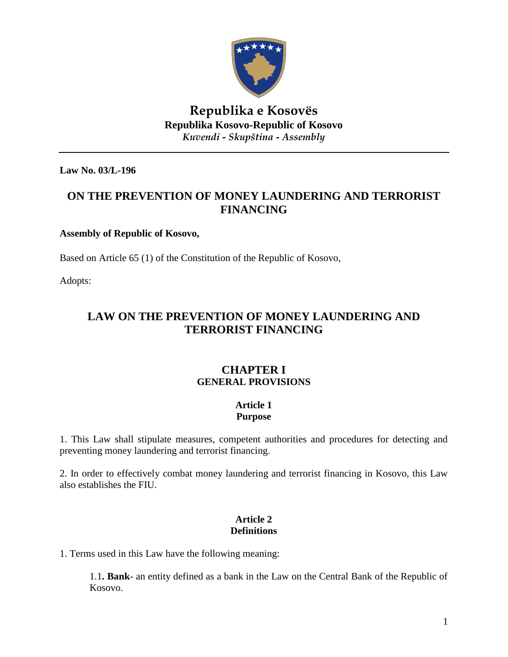

# **Republika e Kosovës Republika Kosovo-Republic of Kosovo** *Kuvendi - Skupština - Assembly*

**Law No. 03/L-196**

# **ON THE PREVENTION OF MONEY LAUNDERING AND TERRORIST FINANCING**

### **Assembly of Republic of Kosovo,**

Based on Article 65 (1) of the Constitution of the Republic of Kosovo,

Adopts:

# **LAW ON THE PREVENTION OF MONEY LAUNDERING AND TERRORIST FINANCING**

# **CHAPTER I GENERAL PROVISIONS**

### **Article 1 Purpose**

1. This Law shall stipulate measures, competent authorities and procedures for detecting and preventing money laundering and terrorist financing.

2. In order to effectively combat money laundering and terrorist financing in Kosovo, this Law also establishes the FIU.

# **Article 2 Definitions**

1. Terms used in this Law have the following meaning:

1.1**. Bank**- an entity defined as a bank in the Law on the Central Bank of the Republic of Kosovo.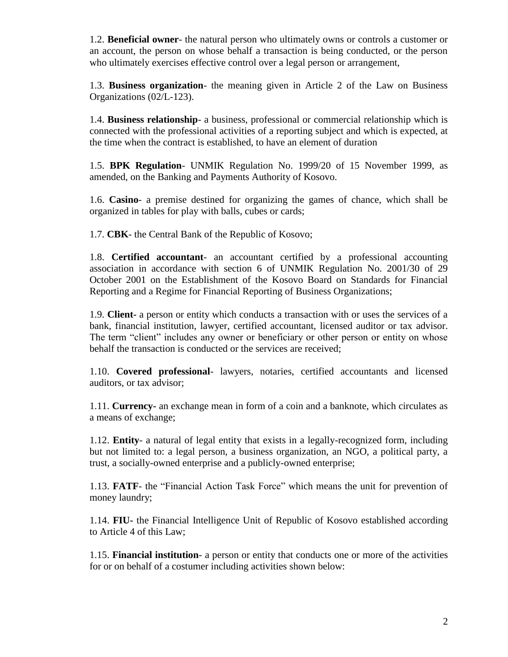1.2. **Beneficial owner**- the natural person who ultimately owns or controls a customer or an account, the person on whose behalf a transaction is being conducted, or the person who ultimately exercises effective control over a legal person or arrangement,

1.3. **Business organization**- the meaning given in Article 2 of the Law on Business Organizations (02/L-123).

1.4. **Business relationship**- a business, professional or commercial relationship which is connected with the professional activities of a reporting subject and which is expected, at the time when the contract is established, to have an element of duration

1.5. **BPK Regulation**- UNMIK Regulation No. 1999/20 of 15 November 1999, as amended, on the Banking and Payments Authority of Kosovo.

1.6. **Casino**- a premise destined for organizing the games of chance, which shall be organized in tables for play with balls, cubes or cards;

1.7. **CBK**- the Central Bank of the Republic of Kosovo;

1.8. **Certified accountant**- an accountant certified by a professional accounting association in accordance with section 6 of UNMIK Regulation No. 2001/30 of 29 October 2001 on the Establishment of the Kosovo Board on Standards for Financial Reporting and a Regime for Financial Reporting of Business Organizations;

1.9. **Client-** a person or entity which conducts a transaction with or uses the services of a bank, financial institution, lawyer, certified accountant, licensed auditor or tax advisor. The term "client" includes any owner or beneficiary or other person or entity on whose behalf the transaction is conducted or the services are received;

1.10. **Covered professional**- lawyers, notaries, certified accountants and licensed auditors, or tax advisor;

1.11. **Currency-** an exchange mean in form of a coin and a banknote, which circulates as a means of exchange;

1.12. **Entity**- a natural of legal entity that exists in a legally-recognized form, including but not limited to: a legal person, a business organization, an NGO, a political party, a trust, a socially-owned enterprise and a publicly-owned enterprise;

1.13. **FATF**- the "Financial Action Task Force" which means the unit for prevention of money laundry;

1.14. **FIU-** the Financial Intelligence Unit of Republic of Kosovo established according to Article 4 of this Law;

1.15. **Financial institution**- a person or entity that conducts one or more of the activities for or on behalf of a costumer including activities shown below: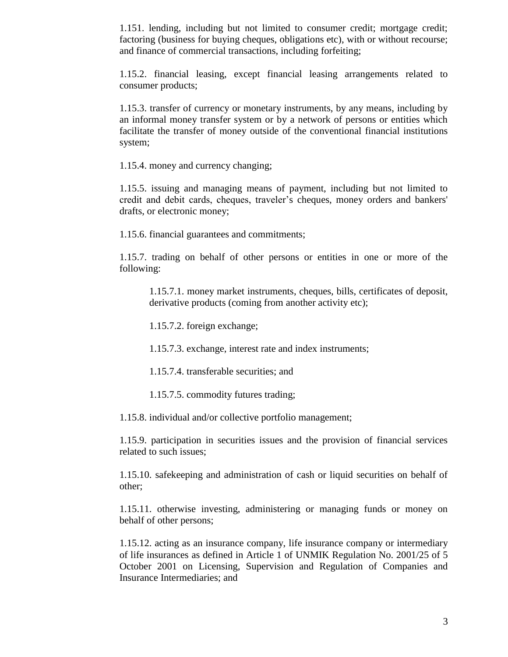1.151. lending, including but not limited to consumer credit; mortgage credit; factoring (business for buying cheques, obligations etc), with or without recourse; and finance of commercial transactions, including forfeiting;

1.15.2. financial leasing, except financial leasing arrangements related to consumer products;

1.15.3. transfer of currency or monetary instruments, by any means, including by an informal money transfer system or by a network of persons or entities which facilitate the transfer of money outside of the conventional financial institutions system;

1.15.4. money and currency changing;

1.15.5. issuing and managing means of payment, including but not limited to credit and debit cards, cheques, traveler's cheques, money orders and bankers' drafts, or electronic money;

1.15.6. financial guarantees and commitments;

1.15.7. trading on behalf of other persons or entities in one or more of the following:

1.15.7.1. money market instruments, cheques, bills, certificates of deposit, derivative products (coming from another activity etc);

1.15.7.2. foreign exchange;

1.15.7.3. exchange, interest rate and index instruments;

1.15.7.4. transferable securities; and

1.15.7.5. commodity futures trading;

1.15.8. individual and/or collective portfolio management;

1.15.9. participation in securities issues and the provision of financial services related to such issues;

1.15.10. safekeeping and administration of cash or liquid securities on behalf of other;

1.15.11. otherwise investing, administering or managing funds or money on behalf of other persons;

1.15.12. acting as an insurance company, life insurance company or intermediary of life insurances as defined in Article 1 of UNMIK Regulation No. 2001/25 of 5 October 2001 on Licensing, Supervision and Regulation of Companies and Insurance Intermediaries; and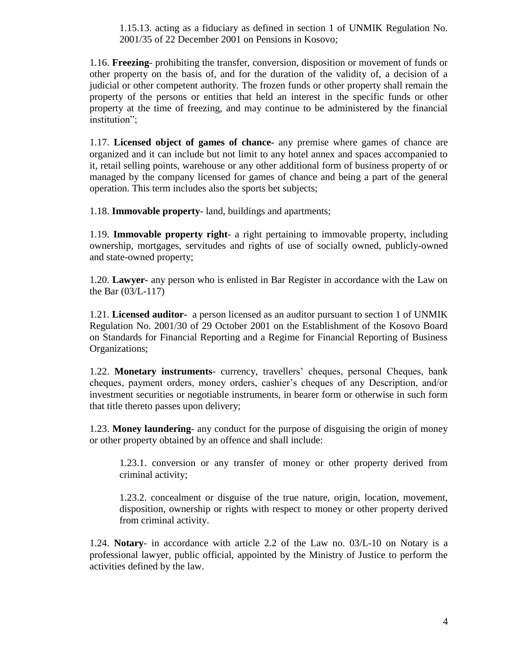1.15.13. acting as a fiduciary as defined in section 1 of UNMIK Regulation No. 2001/35 of 22 December 2001 on Pensions in Kosovo;

1.16. **Freezing**- prohibiting the transfer, conversion, disposition or movement of funds or other property on the basis of, and for the duration of the validity of, a decision of a judicial or other competent authority. The frozen funds or other property shall remain the property of the persons or entities that held an interest in the specific funds or other property at the time of freezing, and may continue to be administered by the financial institution";

1.17. **Licensed object of games of chance-** any premise where games of chance are organized and it can include but not limit to any hotel annex and spaces accompanied to it, retail selling points, warehouse or any other additional form of business property of or managed by the company licensed for games of chance and being a part of the general operation. This term includes also the sports bet subjects;

1.18. **Immovable property**- land, buildings and apartments;

1.19. **Immovable property right**- a right pertaining to immovable property, including ownership, mortgages, servitudes and rights of use of socially owned, publicly-owned and state-owned property;

1.20. **Lawyer-** any person who is enlisted in Bar Register in accordance with the Law on the Bar (03/L-117)

1.21. **Licensed auditor-** a person licensed as an auditor pursuant to section 1 of UNMIK Regulation No. 2001/30 of 29 October 2001 on the Establishment of the Kosovo Board on Standards for Financial Reporting and a Regime for Financial Reporting of Business Organizations;

1.22. **Monetary instruments**- currency, travellers' cheques, personal Cheques, bank cheques, payment orders, money orders, cashier's cheques of any Description, and/or investment securities or negotiable instruments, in bearer form or otherwise in such form that title thereto passes upon delivery;

1.23. **Money laundering**- any conduct for the purpose of disguising the origin of money or other property obtained by an offence and shall include:

1.23.1. conversion or any transfer of money or other property derived from criminal activity;

1.23.2. concealment or disguise of the true nature, origin, location, movement, disposition, ownership or rights with respect to money or other property derived from criminal activity.

1.24. **Notary**- in accordance with article 2.2 of the Law no. 03/L-10 on Notary is a professional lawyer, public official, appointed by the Ministry of Justice to perform the activities defined by the law.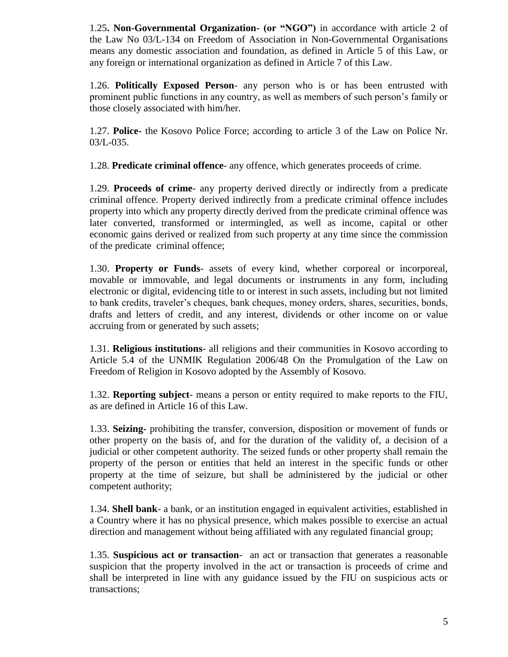1.25**. Non-Governmental Organization- (or "NGO")** in accordance with article 2 of the Law No 03/L-134 on Freedom of Association in Non-Governmental Organisations means any domestic association and foundation, as defined in Article 5 of this Law, or any foreign or international organization as defined in Article 7 of this Law.

1.26. **Politically Exposed Person**- any person who is or has been entrusted with prominent public functions in any country, as well as members of such person's family or those closely associated with him/her.

1.27. **Police-** the Kosovo Police Force; according to article 3 of the Law on Police Nr. 03/L-035.

1.28. **Predicate criminal offence**- any offence, which generates proceeds of crime.

1.29. **Proceeds of crime**- any property derived directly or indirectly from a predicate criminal offence. Property derived indirectly from a predicate criminal offence includes property into which any property directly derived from the predicate criminal offence was later converted, transformed or intermingled, as well as income, capital or other economic gains derived or realized from such property at any time since the commission of the predicate criminal offence;

1.30. **Property or Funds**- assets of every kind, whether corporeal or incorporeal, movable or immovable, and legal documents or instruments in any form, including electronic or digital, evidencing title to or interest in such assets, including but not limited to bank credits, traveler's cheques, bank cheques, money orders, shares, securities, bonds, drafts and letters of credit, and any interest, dividends or other income on or value accruing from or generated by such assets;

1.31. **Religious institutions**- all religions and their communities in Kosovo according to Article 5.4 of the UNMIK Regulation 2006/48 On the Promulgation of the Law on Freedom of Religion in Kosovo adopted by the Assembly of Kosovo.

1.32. **Reporting subject**- means a person or entity required to make reports to the FIU, as are defined in Article 16 of this Law.

1.33. **Seizing-** prohibiting the transfer, conversion, disposition or movement of funds or other property on the basis of, and for the duration of the validity of, a decision of a judicial or other competent authority. The seized funds or other property shall remain the property of the person or entities that held an interest in the specific funds or other property at the time of seizure, but shall be administered by the judicial or other competent authority;

1.34. **Shell bank**- a bank, or an institution engaged in equivalent activities, established in a Country where it has no physical presence, which makes possible to exercise an actual direction and management without being affiliated with any regulated financial group;

1.35. **Suspicious act or transaction**- an act or transaction that generates a reasonable suspicion that the property involved in the act or transaction is proceeds of crime and shall be interpreted in line with any guidance issued by the FIU on suspicious acts or transactions;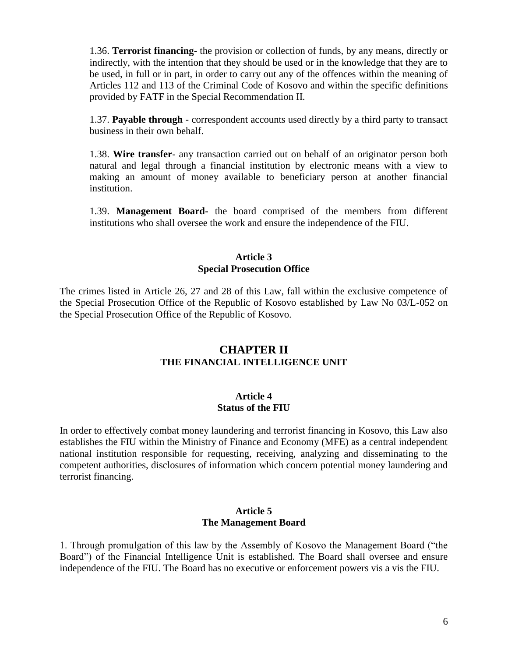1.36. **Terrorist financing**- the provision or collection of funds, by any means, directly or indirectly, with the intention that they should be used or in the knowledge that they are to be used, in full or in part, in order to carry out any of the offences within the meaning of Articles 112 and 113 of the Criminal Code of Kosovo and within the specific definitions provided by FATF in the Special Recommendation II.

1.37. **Payable through** - correspondent accounts used directly by a third party to transact business in their own behalf.

1.38. **Wire transfer**- any transaction carried out on behalf of an originator person both natural and legal through a financial institution by electronic means with a view to making an amount of money available to beneficiary person at another financial institution.

1.39. **Management Board-** the board comprised of the members from different institutions who shall oversee the work and ensure the independence of the FIU.

### **Article 3 Special Prosecution Office**

The crimes listed in Article 26, 27 and 28 of this Law, fall within the exclusive competence of the Special Prosecution Office of the Republic of Kosovo established by Law No 03/L-052 on the Special Prosecution Office of the Republic of Kosovo.

### **CHAPTER II THE FINANCIAL INTELLIGENCE UNIT**

### **Article 4 Status of the FIU**

In order to effectively combat money laundering and terrorist financing in Kosovo, this Law also establishes the FIU within the Ministry of Finance and Economy (MFE) as a central independent national institution responsible for requesting, receiving, analyzing and disseminating to the competent authorities, disclosures of information which concern potential money laundering and terrorist financing.

#### **Article 5 The Management Board**

1. Through promulgation of this law by the Assembly of Kosovo the Management Board ("the Board") of the Financial Intelligence Unit is established. The Board shall oversee and ensure independence of the FIU. The Board has no executive or enforcement powers vis a vis the FIU.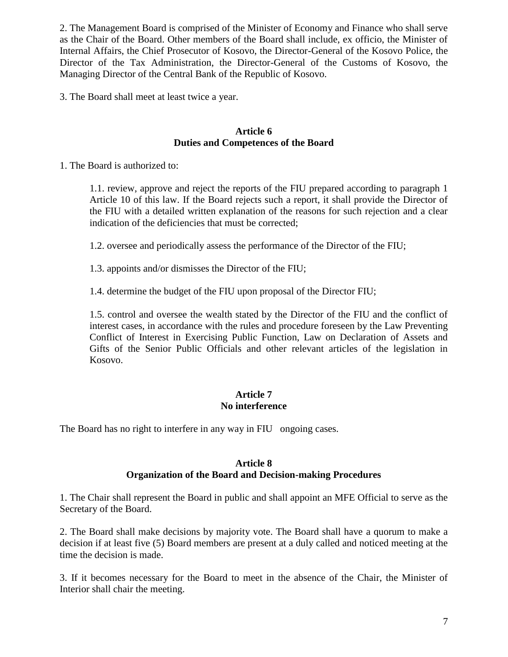2. The Management Board is comprised of the Minister of Economy and Finance who shall serve as the Chair of the Board. Other members of the Board shall include, ex officio, the Minister of Internal Affairs, the Chief Prosecutor of Kosovo, the Director-General of the Kosovo Police, the Director of the Tax Administration, the Director-General of the Customs of Kosovo, the Managing Director of the Central Bank of the Republic of Kosovo.

3. The Board shall meet at least twice a year.

### **Article 6 Duties and Competences of the Board**

1. The Board is authorized to:

1.1. review, approve and reject the reports of the FIU prepared according to paragraph 1 Article 10 of this law. If the Board rejects such a report, it shall provide the Director of the FIU with a detailed written explanation of the reasons for such rejection and a clear indication of the deficiencies that must be corrected;

1.2. oversee and periodically assess the performance of the Director of the FIU;

1.3. appoints and/or dismisses the Director of the FIU;

1.4. determine the budget of the FIU upon proposal of the Director FIU;

1.5. control and oversee the wealth stated by the Director of the FIU and the conflict of interest cases, in accordance with the rules and procedure foreseen by the Law Preventing Conflict of Interest in Exercising Public Function, Law on Declaration of Assets and Gifts of the Senior Public Officials and other relevant articles of the legislation in Kosovo.

### **Article 7 No interference**

The Board has no right to interfere in any way in FIU ongoing cases.

### **Article 8 Organization of the Board and Decision-making Procedures**

1. The Chair shall represent the Board in public and shall appoint an MFE Official to serve as the Secretary of the Board.

2. The Board shall make decisions by majority vote. The Board shall have a quorum to make a decision if at least five (5) Board members are present at a duly called and noticed meeting at the time the decision is made.

3. If it becomes necessary for the Board to meet in the absence of the Chair, the Minister of Interior shall chair the meeting.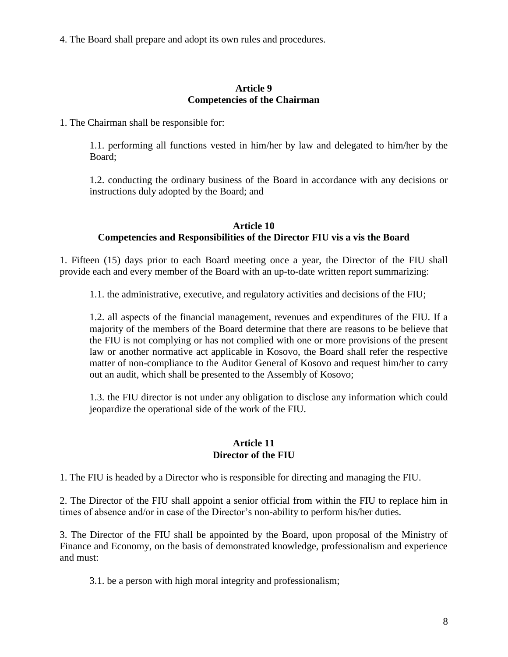4. The Board shall prepare and adopt its own rules and procedures.

### **Article 9 Competencies of the Chairman**

1. The Chairman shall be responsible for:

1.1. performing all functions vested in him/her by law and delegated to him/her by the Board;

1.2. conducting the ordinary business of the Board in accordance with any decisions or instructions duly adopted by the Board; and

### **Article 10 Competencies and Responsibilities of the Director FIU vis a vis the Board**

1. Fifteen (15) days prior to each Board meeting once a year, the Director of the FIU shall provide each and every member of the Board with an up-to-date written report summarizing:

1.1. the administrative, executive, and regulatory activities and decisions of the FIU;

1.2. all aspects of the financial management, revenues and expenditures of the FIU. If a majority of the members of the Board determine that there are reasons to be believe that the FIU is not complying or has not complied with one or more provisions of the present law or another normative act applicable in Kosovo, the Board shall refer the respective matter of non-compliance to the Auditor General of Kosovo and request him/her to carry out an audit, which shall be presented to the Assembly of Kosovo;

1.3. the FIU director is not under any obligation to disclose any information which could jeopardize the operational side of the work of the FIU.

### **Article 11 Director of the FIU**

1. The FIU is headed by a Director who is responsible for directing and managing the FIU.

2. The Director of the FIU shall appoint a senior official from within the FIU to replace him in times of absence and/or in case of the Director's non-ability to perform his/her duties.

3. The Director of the FIU shall be appointed by the Board, upon proposal of the Ministry of Finance and Economy, on the basis of demonstrated knowledge, professionalism and experience and must:

3.1. be a person with high moral integrity and professionalism;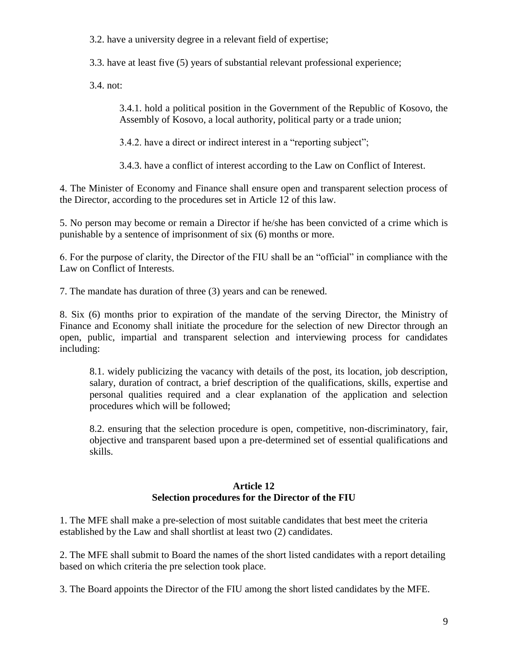3.2. have a university degree in a relevant field of expertise;

3.3. have at least five (5) years of substantial relevant professional experience;

3.4. not:

3.4.1. hold a political position in the Government of the Republic of Kosovo, the Assembly of Kosovo, a local authority, political party or a trade union;

3.4.2. have a direct or indirect interest in a "reporting subject";

3.4.3. have a conflict of interest according to the Law on Conflict of Interest.

4. The Minister of Economy and Finance shall ensure open and transparent selection process of the Director, according to the procedures set in Article 12 of this law.

5. No person may become or remain a Director if he/she has been convicted of a crime which is punishable by a sentence of imprisonment of six (6) months or more.

6. For the purpose of clarity, the Director of the FIU shall be an "official" in compliance with the Law on Conflict of Interests.

7. The mandate has duration of three (3) years and can be renewed.

8. Six (6) months prior to expiration of the mandate of the serving Director, the Ministry of Finance and Economy shall initiate the procedure for the selection of new Director through an open, public, impartial and transparent selection and interviewing process for candidates including:

8.1. widely publicizing the vacancy with details of the post, its location, job description, salary, duration of contract, a brief description of the qualifications, skills, expertise and personal qualities required and a clear explanation of the application and selection procedures which will be followed;

8.2. ensuring that the selection procedure is open, competitive, non-discriminatory, fair, objective and transparent based upon a pre-determined set of essential qualifications and skills.

### **Article 12 Selection procedures for the Director of the FIU**

1. The MFE shall make a pre-selection of most suitable candidates that best meet the criteria established by the Law and shall shortlist at least two (2) candidates.

2. The MFE shall submit to Board the names of the short listed candidates with a report detailing based on which criteria the pre selection took place.

3. The Board appoints the Director of the FIU among the short listed candidates by the MFE.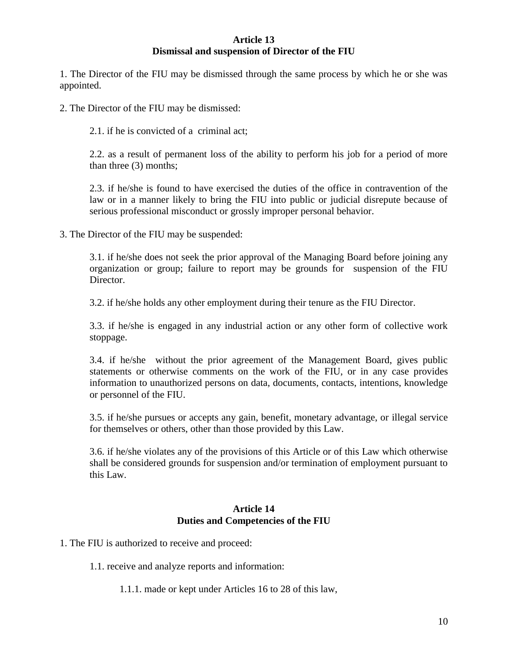### **Article 13 Dismissal and suspension of Director of the FIU**

1. The Director of the FIU may be dismissed through the same process by which he or she was appointed.

2. The Director of the FIU may be dismissed:

2.1. if he is convicted of a criminal act;

2.2. as a result of permanent loss of the ability to perform his job for a period of more than three (3) months;

2.3. if he/she is found to have exercised the duties of the office in contravention of the law or in a manner likely to bring the FIU into public or judicial disrepute because of serious professional misconduct or grossly improper personal behavior.

3. The Director of the FIU may be suspended:

3.1. if he/she does not seek the prior approval of the Managing Board before joining any organization or group; failure to report may be grounds for suspension of the FIU Director.

3.2. if he/she holds any other employment during their tenure as the FIU Director.

3.3. if he/she is engaged in any industrial action or any other form of collective work stoppage.

3.4. if he/she without the prior agreement of the Management Board, gives public statements or otherwise comments on the work of the FIU, or in any case provides information to unauthorized persons on data, documents, contacts, intentions, knowledge or personnel of the FIU.

3.5. if he/she pursues or accepts any gain, benefit, monetary advantage, or illegal service for themselves or others, other than those provided by this Law.

3.6. if he/she violates any of the provisions of this Article or of this Law which otherwise shall be considered grounds for suspension and/or termination of employment pursuant to this Law.

### **Article 14 Duties and Competencies of the FIU**

1. The FIU is authorized to receive and proceed:

1.1. receive and analyze reports and information:

1.1.1. made or kept under Articles 16 to 28 of this law,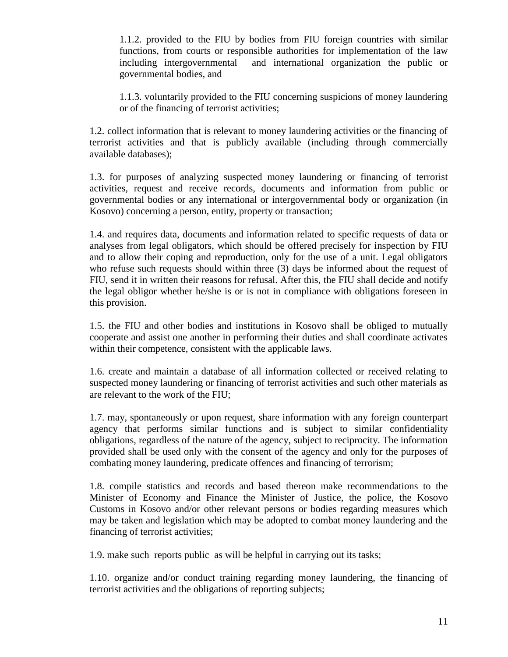1.1.2. provided to the FIU by bodies from FIU foreign countries with similar functions, from courts or responsible authorities for implementation of the law including intergovernmental and international organization the public or governmental bodies, and

1.1.3. voluntarily provided to the FIU concerning suspicions of money laundering or of the financing of terrorist activities;

1.2. collect information that is relevant to money laundering activities or the financing of terrorist activities and that is publicly available (including through commercially available databases);

1.3. for purposes of analyzing suspected money laundering or financing of terrorist activities, request and receive records, documents and information from public or governmental bodies or any international or intergovernmental body or organization (in Kosovo) concerning a person, entity, property or transaction;

1.4. and requires data, documents and information related to specific requests of data or analyses from legal obligators, which should be offered precisely for inspection by FIU and to allow their coping and reproduction, only for the use of a unit. Legal obligators who refuse such requests should within three (3) days be informed about the request of FIU, send it in written their reasons for refusal. After this, the FIU shall decide and notify the legal obligor whether he/she is or is not in compliance with obligations foreseen in this provision.

1.5. the FIU and other bodies and institutions in Kosovo shall be obliged to mutually cooperate and assist one another in performing their duties and shall coordinate activates within their competence, consistent with the applicable laws.

1.6. create and maintain a database of all information collected or received relating to suspected money laundering or financing of terrorist activities and such other materials as are relevant to the work of the FIU;

1.7. may, spontaneously or upon request, share information with any foreign counterpart agency that performs similar functions and is subject to similar confidentiality obligations, regardless of the nature of the agency, subject to reciprocity. The information provided shall be used only with the consent of the agency and only for the purposes of combating money laundering, predicate offences and financing of terrorism;

1.8. compile statistics and records and based thereon make recommendations to the Minister of Economy and Finance the Minister of Justice, the police, the Kosovo Customs in Kosovo and/or other relevant persons or bodies regarding measures which may be taken and legislation which may be adopted to combat money laundering and the financing of terrorist activities;

1.9. make such reports public as will be helpful in carrying out its tasks;

1.10. organize and/or conduct training regarding money laundering, the financing of terrorist activities and the obligations of reporting subjects;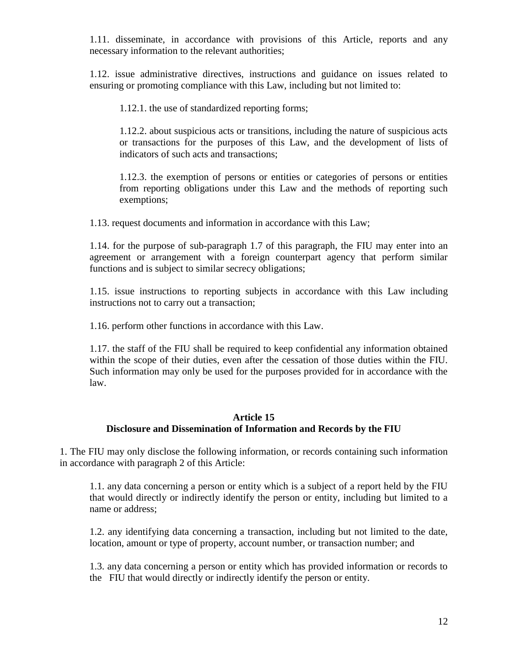1.11. disseminate, in accordance with provisions of this Article, reports and any necessary information to the relevant authorities;

1.12. issue administrative directives, instructions and guidance on issues related to ensuring or promoting compliance with this Law, including but not limited to:

1.12.1. the use of standardized reporting forms;

1.12.2. about suspicious acts or transitions, including the nature of suspicious acts or transactions for the purposes of this Law, and the development of lists of indicators of such acts and transactions;

1.12.3. the exemption of persons or entities or categories of persons or entities from reporting obligations under this Law and the methods of reporting such exemptions;

1.13. request documents and information in accordance with this Law;

1.14. for the purpose of sub-paragraph 1.7 of this paragraph, the FIU may enter into an agreement or arrangement with a foreign counterpart agency that perform similar functions and is subject to similar secrecy obligations;

1.15. issue instructions to reporting subjects in accordance with this Law including instructions not to carry out a transaction;

1.16. perform other functions in accordance with this Law.

1.17. the staff of the FIU shall be required to keep confidential any information obtained within the scope of their duties, even after the cessation of those duties within the FIU. Such information may only be used for the purposes provided for in accordance with the law.

### **Article 15 Disclosure and Dissemination of Information and Records by the FIU**

1. The FIU may only disclose the following information, or records containing such information in accordance with paragraph 2 of this Article:

1.1. any data concerning a person or entity which is a subject of a report held by the FIU that would directly or indirectly identify the person or entity, including but limited to a name or address;

1.2. any identifying data concerning a transaction, including but not limited to the date, location, amount or type of property, account number, or transaction number; and

1.3. any data concerning a person or entity which has provided information or records to the FIU that would directly or indirectly identify the person or entity.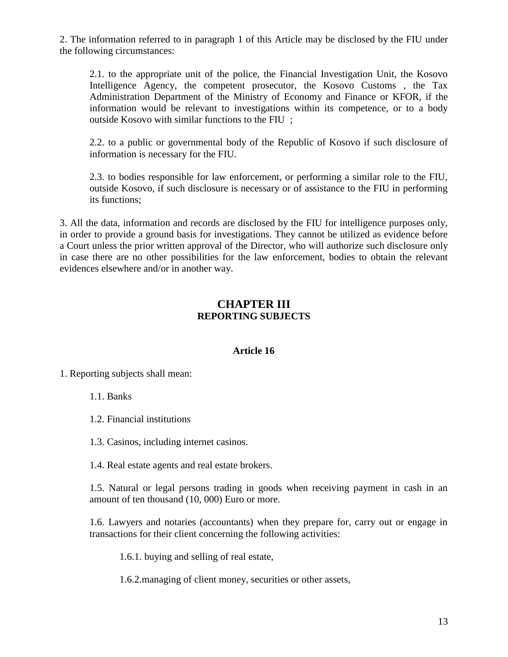2. The information referred to in paragraph 1 of this Article may be disclosed by the FIU under the following circumstances:

2.1. to the appropriate unit of the police, the Financial Investigation Unit, the Kosovo Intelligence Agency, the competent prosecutor, the Kosovo Customs , the Tax Administration Department of the Ministry of Economy and Finance or KFOR, if the information would be relevant to investigations within its competence, or to a body outside Kosovo with similar functions to the FIU ;

2.2. to a public or governmental body of the Republic of Kosovo if such disclosure of information is necessary for the FIU.

2.3. to bodies responsible for law enforcement, or performing a similar role to the FIU, outside Kosovo, if such disclosure is necessary or of assistance to the FIU in performing its functions;

3. All the data, information and records are disclosed by the FIU for intelligence purposes only, in order to provide a ground basis for investigations. They cannot be utilized as evidence before a Court unless the prior written approval of the Director, who will authorize such disclosure only in case there are no other possibilities for the law enforcement, bodies to obtain the relevant evidences elsewhere and/or in another way.

# **CHAPTER III REPORTING SUBJECTS**

### **Article 16**

1. Reporting subjects shall mean:

1.1. Banks

1.2. Financial institutions

1.3. Casinos, including internet casinos.

1.4. Real estate agents and real estate brokers.

1.5. Natural or legal persons trading in goods when receiving payment in cash in an amount of ten thousand (10, 000) Euro or more.

1.6. Lawyers and notaries (accountants) when they prepare for, carry out or engage in transactions for their client concerning the following activities:

1.6.1. buying and selling of real estate,

1.6.2.managing of client money, securities or other assets,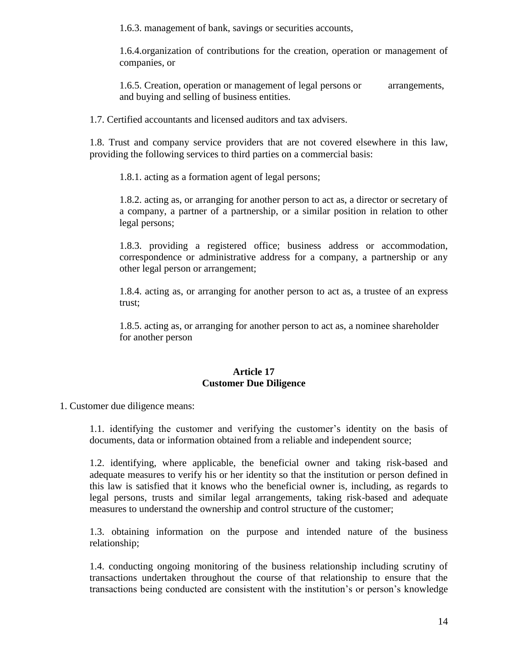1.6.3. management of bank, savings or securities accounts,

1.6.4.organization of contributions for the creation, operation or management of companies, or

1.6.5. Creation, operation or management of legal persons or arrangements, and buying and selling of business entities.

1.7. Certified accountants and licensed auditors and tax advisers.

1.8. Trust and company service providers that are not covered elsewhere in this law, providing the following services to third parties on a commercial basis:

1.8.1. acting as a formation agent of legal persons;

1.8.2. acting as, or arranging for another person to act as, a director or secretary of a company, a partner of a partnership, or a similar position in relation to other legal persons;

1.8.3. providing a registered office; business address or accommodation, correspondence or administrative address for a company, a partnership or any other legal person or arrangement;

1.8.4. acting as, or arranging for another person to act as, a trustee of an express trust;

1.8.5. acting as, or arranging for another person to act as, a nominee shareholder for another person

### **Article 17 Customer Due Diligence**

1. Customer due diligence means:

1.1. identifying the customer and verifying the customer's identity on the basis of documents, data or information obtained from a reliable and independent source;

1.2. identifying, where applicable, the beneficial owner and taking risk-based and adequate measures to verify his or her identity so that the institution or person defined in this law is satisfied that it knows who the beneficial owner is, including, as regards to legal persons, trusts and similar legal arrangements, taking risk-based and adequate measures to understand the ownership and control structure of the customer;

1.3. obtaining information on the purpose and intended nature of the business relationship;

1.4. conducting ongoing monitoring of the business relationship including scrutiny of transactions undertaken throughout the course of that relationship to ensure that the transactions being conducted are consistent with the institution's or person's knowledge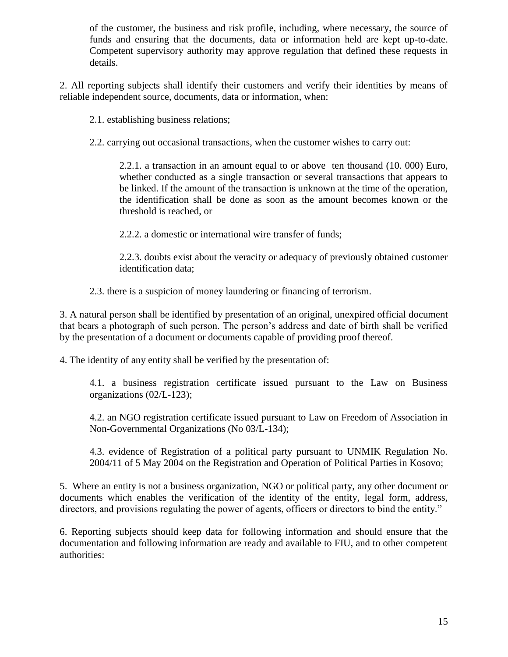of the customer, the business and risk profile, including, where necessary, the source of funds and ensuring that the documents, data or information held are kept up-to-date. Competent supervisory authority may approve regulation that defined these requests in details.

2. All reporting subjects shall identify their customers and verify their identities by means of reliable independent source, documents, data or information, when:

2.1. establishing business relations;

2.2. carrying out occasional transactions, when the customer wishes to carry out:

2.2.1. a transaction in an amount equal to or above ten thousand (10. 000) Euro, whether conducted as a single transaction or several transactions that appears to be linked. If the amount of the transaction is unknown at the time of the operation, the identification shall be done as soon as the amount becomes known or the threshold is reached, or

2.2.2. a domestic or international wire transfer of funds;

2.2.3. doubts exist about the veracity or adequacy of previously obtained customer identification data;

2.3. there is a suspicion of money laundering or financing of terrorism.

3. A natural person shall be identified by presentation of an original, unexpired official document that bears a photograph of such person. The person's address and date of birth shall be verified by the presentation of a document or documents capable of providing proof thereof.

4. The identity of any entity shall be verified by the presentation of:

4.1. a business registration certificate issued pursuant to the Law on Business organizations (02/L-123);

4.2. an NGO registration certificate issued pursuant to Law on Freedom of Association in Non-Governmental Organizations (No 03/L-134);

4.3. evidence of Registration of a political party pursuant to UNMIK Regulation No. 2004/11 of 5 May 2004 on the Registration and Operation of Political Parties in Kosovo;

5. Where an entity is not a business organization, NGO or political party, any other document or documents which enables the verification of the identity of the entity, legal form, address, directors, and provisions regulating the power of agents, officers or directors to bind the entity."

6. Reporting subjects should keep data for following information and should ensure that the documentation and following information are ready and available to FIU, and to other competent authorities: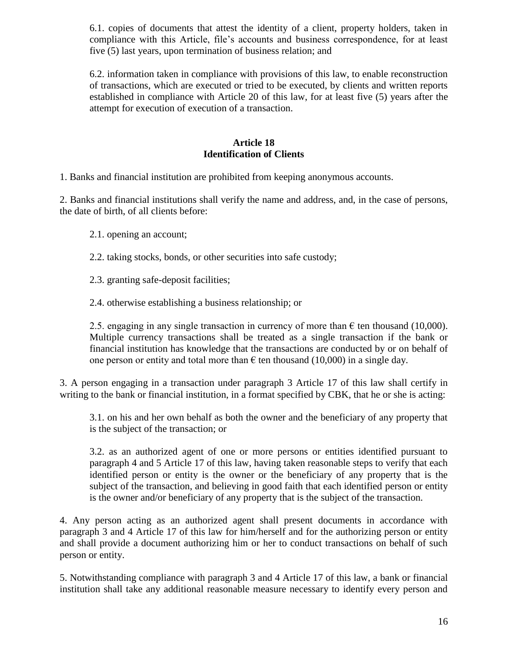6.1. copies of documents that attest the identity of a client, property holders, taken in compliance with this Article, file's accounts and business correspondence, for at least five (5) last years, upon termination of business relation; and

6.2. information taken in compliance with provisions of this law, to enable reconstruction of transactions, which are executed or tried to be executed, by clients and written reports established in compliance with Article 20 of this law, for at least five (5) years after the attempt for execution of execution of a transaction.

### **Article 18 Identification of Clients**

1. Banks and financial institution are prohibited from keeping anonymous accounts.

2. Banks and financial institutions shall verify the name and address, and, in the case of persons, the date of birth, of all clients before:

- 2.1. opening an account;
- 2.2. taking stocks, bonds, or other securities into safe custody;
- 2.3. granting safe-deposit facilities;
- 2.4. otherwise establishing a business relationship; or

2.5. engaging in any single transaction in currency of more than  $\epsilon$  ten thousand (10,000). Multiple currency transactions shall be treated as a single transaction if the bank or financial institution has knowledge that the transactions are conducted by or on behalf of one person or entity and total more than  $\epsilon$  ten thousand (10,000) in a single day.

3. A person engaging in a transaction under paragraph 3 Article 17 of this law shall certify in writing to the bank or financial institution, in a format specified by CBK, that he or she is acting:

3.1. on his and her own behalf as both the owner and the beneficiary of any property that is the subject of the transaction; or

3.2. as an authorized agent of one or more persons or entities identified pursuant to paragraph 4 and 5 Article 17 of this law, having taken reasonable steps to verify that each identified person or entity is the owner or the beneficiary of any property that is the subject of the transaction, and believing in good faith that each identified person or entity is the owner and/or beneficiary of any property that is the subject of the transaction.

4. Any person acting as an authorized agent shall present documents in accordance with paragraph 3 and 4 Article 17 of this law for him/herself and for the authorizing person or entity and shall provide a document authorizing him or her to conduct transactions on behalf of such person or entity.

5. Notwithstanding compliance with paragraph 3 and 4 Article 17 of this law, a bank or financial institution shall take any additional reasonable measure necessary to identify every person and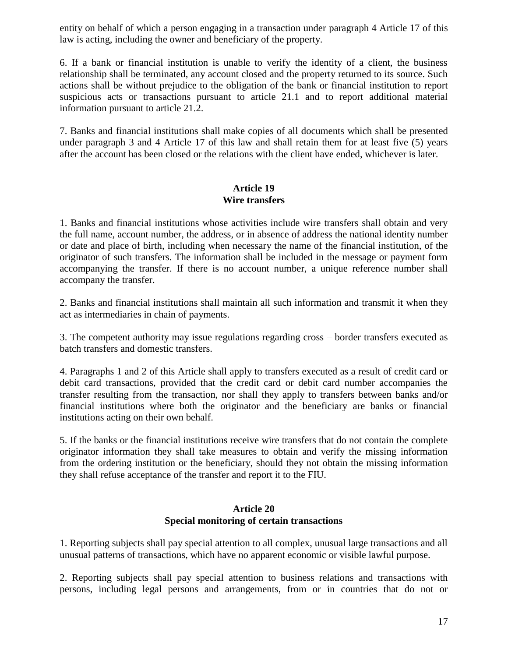entity on behalf of which a person engaging in a transaction under paragraph 4 Article 17 of this law is acting, including the owner and beneficiary of the property.

6. If a bank or financial institution is unable to verify the identity of a client, the business relationship shall be terminated, any account closed and the property returned to its source. Such actions shall be without prejudice to the obligation of the bank or financial institution to report suspicious acts or transactions pursuant to article 21.1 and to report additional material information pursuant to article 21.2.

7. Banks and financial institutions shall make copies of all documents which shall be presented under paragraph 3 and 4 Article 17 of this law and shall retain them for at least five (5) years after the account has been closed or the relations with the client have ended, whichever is later.

### **Article 19 Wire transfers**

1. Banks and financial institutions whose activities include wire transfers shall obtain and very the full name, account number, the address, or in absence of address the national identity number or date and place of birth, including when necessary the name of the financial institution, of the originator of such transfers. The information shall be included in the message or payment form accompanying the transfer. If there is no account number, a unique reference number shall accompany the transfer.

2. Banks and financial institutions shall maintain all such information and transmit it when they act as intermediaries in chain of payments.

3. The competent authority may issue regulations regarding cross – border transfers executed as batch transfers and domestic transfers.

4. Paragraphs 1 and 2 of this Article shall apply to transfers executed as a result of credit card or debit card transactions, provided that the credit card or debit card number accompanies the transfer resulting from the transaction, nor shall they apply to transfers between banks and/or financial institutions where both the originator and the beneficiary are banks or financial institutions acting on their own behalf.

5. If the banks or the financial institutions receive wire transfers that do not contain the complete originator information they shall take measures to obtain and verify the missing information from the ordering institution or the beneficiary, should they not obtain the missing information they shall refuse acceptance of the transfer and report it to the FIU.

### **Article 20 Special monitoring of certain transactions**

1. Reporting subjects shall pay special attention to all complex, unusual large transactions and all unusual patterns of transactions, which have no apparent economic or visible lawful purpose.

2. Reporting subjects shall pay special attention to business relations and transactions with persons, including legal persons and arrangements, from or in countries that do not or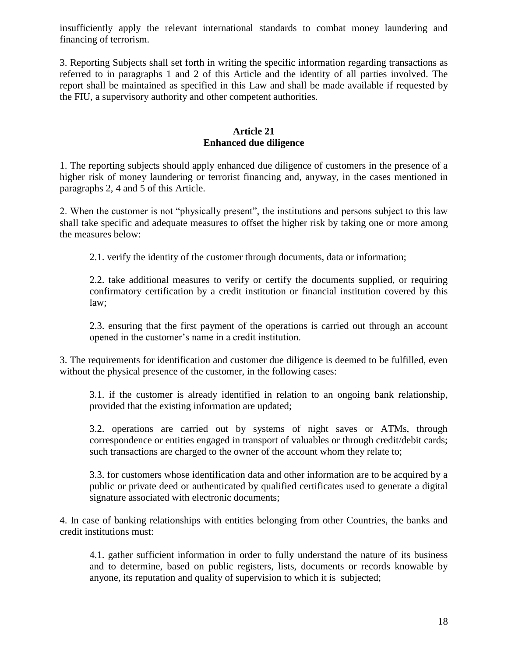insufficiently apply the relevant international standards to combat money laundering and financing of terrorism.

3. Reporting Subjects shall set forth in writing the specific information regarding transactions as referred to in paragraphs 1 and 2 of this Article and the identity of all parties involved. The report shall be maintained as specified in this Law and shall be made available if requested by the FIU, a supervisory authority and other competent authorities.

### **Article 21 Enhanced due diligence**

1. The reporting subjects should apply enhanced due diligence of customers in the presence of a higher risk of money laundering or terrorist financing and, anyway, in the cases mentioned in paragraphs 2, 4 and 5 of this Article.

2. When the customer is not "physically present", the institutions and persons subject to this law shall take specific and adequate measures to offset the higher risk by taking one or more among the measures below:

2.1. verify the identity of the customer through documents, data or information;

2.2. take additional measures to verify or certify the documents supplied, or requiring confirmatory certification by a credit institution or financial institution covered by this law;

2.3. ensuring that the first payment of the operations is carried out through an account opened in the customer's name in a credit institution.

3. The requirements for identification and customer due diligence is deemed to be fulfilled, even without the physical presence of the customer, in the following cases:

3.1. if the customer is already identified in relation to an ongoing bank relationship, provided that the existing information are updated;

3.2. operations are carried out by systems of night saves or ATMs, through correspondence or entities engaged in transport of valuables or through credit/debit cards; such transactions are charged to the owner of the account whom they relate to;

3.3. for customers whose identification data and other information are to be acquired by a public or private deed or authenticated by qualified certificates used to generate a digital signature associated with electronic documents;

4. In case of banking relationships with entities belonging from other Countries, the banks and credit institutions must:

4.1. gather sufficient information in order to fully understand the nature of its business and to determine, based on public registers, lists, documents or records knowable by anyone, its reputation and quality of supervision to which it is subjected;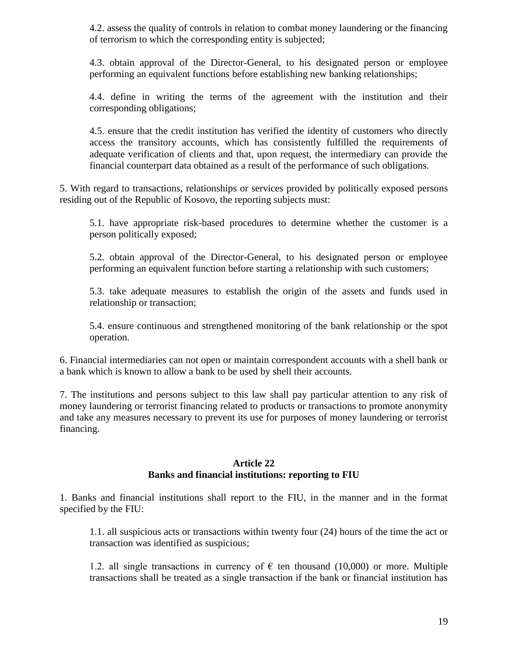4.2. assess the quality of controls in relation to combat money laundering or the financing of terrorism to which the corresponding entity is subjected;

4.3. obtain approval of the Director-General, to his designated person or employee performing an equivalent functions before establishing new banking relationships;

4.4. define in writing the terms of the agreement with the institution and their corresponding obligations;

4.5. ensure that the credit institution has verified the identity of customers who directly access the transitory accounts, which has consistently fulfilled the requirements of adequate verification of clients and that, upon request, the intermediary can provide the financial counterpart data obtained as a result of the performance of such obligations.

5. With regard to transactions, relationships or services provided by politically exposed persons residing out of the Republic of Kosovo, the reporting subjects must:

5.1. have appropriate risk-based procedures to determine whether the customer is a person politically exposed;

5.2. obtain approval of the Director-General, to his designated person or employee performing an equivalent function before starting a relationship with such customers;

5.3. take adequate measures to establish the origin of the assets and funds used in relationship or transaction;

5.4. ensure continuous and strengthened monitoring of the bank relationship or the spot operation.

6. Financial intermediaries can not open or maintain correspondent accounts with a shell bank or a bank which is known to allow a bank to be used by shell their accounts.

7. The institutions and persons subject to this law shall pay particular attention to any risk of money laundering or terrorist financing related to products or transactions to promote anonymity and take any measures necessary to prevent its use for purposes of money laundering or terrorist financing.

### **Article 22 Banks and financial institutions: reporting to FIU**

1. Banks and financial institutions shall report to the FIU, in the manner and in the format specified by the FIU:

1.1. all suspicious acts or transactions within twenty four (24) hours of the time the act or transaction was identified as suspicious;

1.2. all single transactions in currency of  $\epsilon$  ten thousand (10,000) or more. Multiple transactions shall be treated as a single transaction if the bank or financial institution has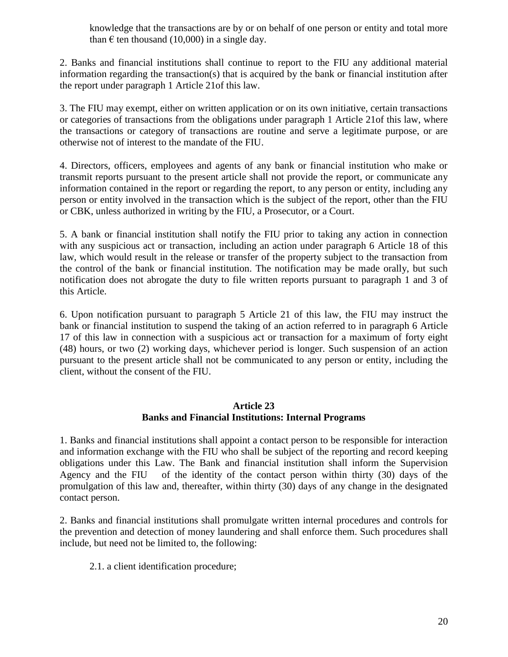knowledge that the transactions are by or on behalf of one person or entity and total more than  $\epsilon$  ten thousand (10,000) in a single day.

2. Banks and financial institutions shall continue to report to the FIU any additional material information regarding the transaction(s) that is acquired by the bank or financial institution after the report under paragraph 1 Article 21of this law.

3. The FIU may exempt, either on written application or on its own initiative, certain transactions or categories of transactions from the obligations under paragraph 1 Article 21of this law, where the transactions or category of transactions are routine and serve a legitimate purpose, or are otherwise not of interest to the mandate of the FIU.

4. Directors, officers, employees and agents of any bank or financial institution who make or transmit reports pursuant to the present article shall not provide the report, or communicate any information contained in the report or regarding the report, to any person or entity, including any person or entity involved in the transaction which is the subject of the report, other than the FIU or CBK, unless authorized in writing by the FIU, a Prosecutor, or a Court.

5. A bank or financial institution shall notify the FIU prior to taking any action in connection with any suspicious act or transaction, including an action under paragraph 6 Article 18 of this law, which would result in the release or transfer of the property subject to the transaction from the control of the bank or financial institution. The notification may be made orally, but such notification does not abrogate the duty to file written reports pursuant to paragraph 1 and 3 of this Article.

6. Upon notification pursuant to paragraph 5 Article 21 of this law, the FIU may instruct the bank or financial institution to suspend the taking of an action referred to in paragraph 6 Article 17 of this law in connection with a suspicious act or transaction for a maximum of forty eight (48) hours, or two (2) working days, whichever period is longer. Such suspension of an action pursuant to the present article shall not be communicated to any person or entity, including the client, without the consent of the FIU.

### **Article 23 Banks and Financial Institutions: Internal Programs**

1. Banks and financial institutions shall appoint a contact person to be responsible for interaction and information exchange with the FIU who shall be subject of the reporting and record keeping obligations under this Law. The Bank and financial institution shall inform the Supervision Agency and the FIU of the identity of the contact person within thirty (30) days of the promulgation of this law and, thereafter, within thirty (30) days of any change in the designated contact person.

2. Banks and financial institutions shall promulgate written internal procedures and controls for the prevention and detection of money laundering and shall enforce them. Such procedures shall include, but need not be limited to, the following:

2.1. a client identification procedure;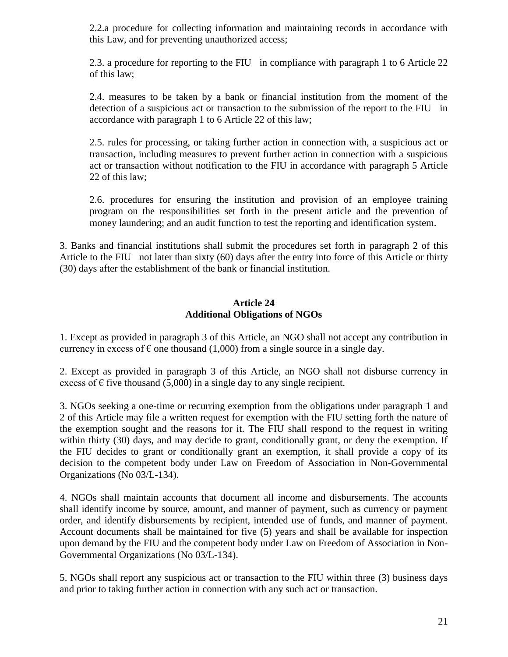2.2.a procedure for collecting information and maintaining records in accordance with this Law, and for preventing unauthorized access;

2.3. a procedure for reporting to the FIU in compliance with paragraph 1 to 6 Article 22 of this law;

2.4. measures to be taken by a bank or financial institution from the moment of the detection of a suspicious act or transaction to the submission of the report to the FIU in accordance with paragraph 1 to 6 Article 22 of this law;

2.5. rules for processing, or taking further action in connection with, a suspicious act or transaction, including measures to prevent further action in connection with a suspicious act or transaction without notification to the FIU in accordance with paragraph 5 Article 22 of this law;

2.6. procedures for ensuring the institution and provision of an employee training program on the responsibilities set forth in the present article and the prevention of money laundering; and an audit function to test the reporting and identification system.

3. Banks and financial institutions shall submit the procedures set forth in paragraph 2 of this Article to the FIU not later than sixty (60) days after the entry into force of this Article or thirty (30) days after the establishment of the bank or financial institution.

### **Article 24 Additional Obligations of NGOs**

1. Except as provided in paragraph 3 of this Article, an NGO shall not accept any contribution in currency in excess of  $\epsilon$  one thousand (1,000) from a single source in a single day.

2. Except as provided in paragraph 3 of this Article, an NGO shall not disburse currency in excess of  $\epsilon$  five thousand (5,000) in a single day to any single recipient.

3. NGOs seeking a one-time or recurring exemption from the obligations under paragraph 1 and 2 of this Article may file a written request for exemption with the FIU setting forth the nature of the exemption sought and the reasons for it. The FIU shall respond to the request in writing within thirty (30) days, and may decide to grant, conditionally grant, or deny the exemption. If the FIU decides to grant or conditionally grant an exemption, it shall provide a copy of its decision to the competent body under Law on Freedom of Association in Non-Governmental Organizations (No 03/L-134).

4. NGOs shall maintain accounts that document all income and disbursements. The accounts shall identify income by source, amount, and manner of payment, such as currency or payment order, and identify disbursements by recipient, intended use of funds, and manner of payment. Account documents shall be maintained for five (5) years and shall be available for inspection upon demand by the FIU and the competent body under Law on Freedom of Association in Non-Governmental Organizations (No 03/L-134).

5. NGOs shall report any suspicious act or transaction to the FIU within three (3) business days and prior to taking further action in connection with any such act or transaction.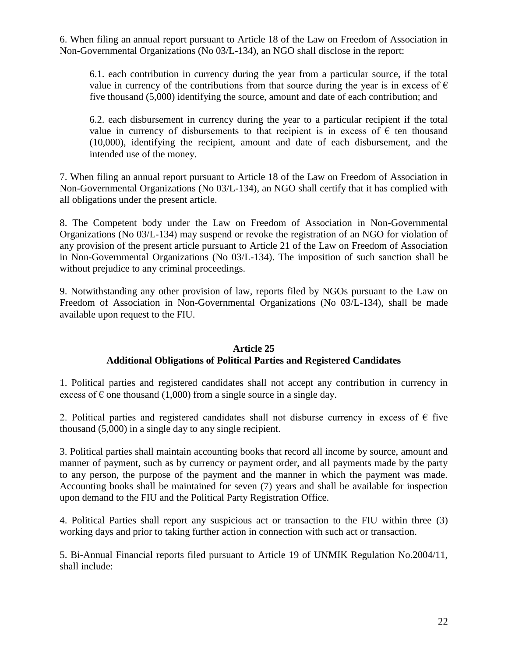6. When filing an annual report pursuant to Article 18 of the Law on Freedom of Association in Non-Governmental Organizations (No 03/L-134), an NGO shall disclose in the report:

6.1. each contribution in currency during the year from a particular source, if the total value in currency of the contributions from that source during the year is in excess of  $\epsilon$ five thousand (5,000) identifying the source, amount and date of each contribution; and

6.2. each disbursement in currency during the year to a particular recipient if the total value in currency of disbursements to that recipient is in excess of  $\epsilon$  ten thousand (10,000), identifying the recipient, amount and date of each disbursement, and the intended use of the money.

7. When filing an annual report pursuant to Article 18 of the Law on Freedom of Association in Non-Governmental Organizations (No 03/L-134), an NGO shall certify that it has complied with all obligations under the present article.

8. The Competent body under the Law on Freedom of Association in Non-Governmental Organizations (No 03/L-134) may suspend or revoke the registration of an NGO for violation of any provision of the present article pursuant to Article 21 of the Law on Freedom of Association in Non-Governmental Organizations (No 03/L-134). The imposition of such sanction shall be without prejudice to any criminal proceedings.

9. Notwithstanding any other provision of law, reports filed by NGOs pursuant to the Law on Freedom of Association in Non-Governmental Organizations (No 03/L-134), shall be made available upon request to the FIU.

### **Article 25 Additional Obligations of Political Parties and Registered Candidates**

1. Political parties and registered candidates shall not accept any contribution in currency in excess of  $\epsilon$  one thousand (1,000) from a single source in a single day.

2. Political parties and registered candidates shall not disburse currency in excess of  $\epsilon$  five thousand (5,000) in a single day to any single recipient.

3. Political parties shall maintain accounting books that record all income by source, amount and manner of payment, such as by currency or payment order, and all payments made by the party to any person, the purpose of the payment and the manner in which the payment was made. Accounting books shall be maintained for seven (7) years and shall be available for inspection upon demand to the FIU and the Political Party Registration Office.

4. Political Parties shall report any suspicious act or transaction to the FIU within three (3) working days and prior to taking further action in connection with such act or transaction.

5. Bi-Annual Financial reports filed pursuant to Article 19 of UNMIK Regulation No.2004/11, shall include: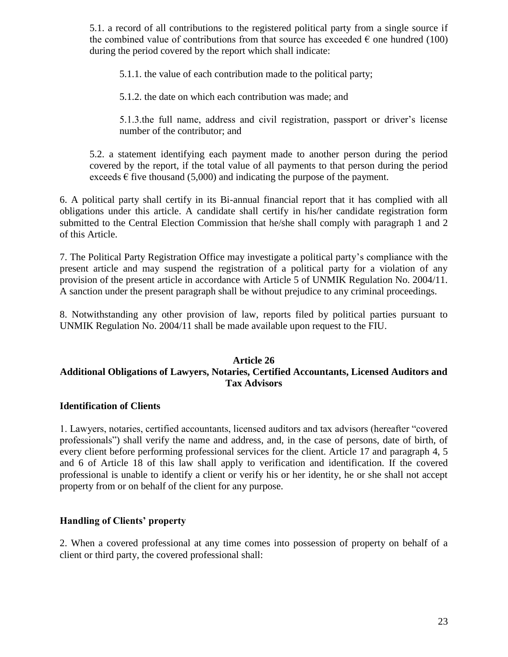5.1. a record of all contributions to the registered political party from a single source if the combined value of contributions from that source has exceeded  $\epsilon$  one hundred (100) during the period covered by the report which shall indicate:

5.1.1. the value of each contribution made to the political party;

5.1.2. the date on which each contribution was made; and

5.1.3.the full name, address and civil registration, passport or driver's license number of the contributor; and

5.2. a statement identifying each payment made to another person during the period covered by the report, if the total value of all payments to that person during the period exceeds  $\epsilon$  five thousand (5,000) and indicating the purpose of the payment.

6. A political party shall certify in its Bi-annual financial report that it has complied with all obligations under this article. A candidate shall certify in his/her candidate registration form submitted to the Central Election Commission that he/she shall comply with paragraph 1 and 2 of this Article.

7. The Political Party Registration Office may investigate a political party's compliance with the present article and may suspend the registration of a political party for a violation of any provision of the present article in accordance with Article 5 of UNMIK Regulation No. 2004/11. A sanction under the present paragraph shall be without prejudice to any criminal proceedings.

8. Notwithstanding any other provision of law, reports filed by political parties pursuant to UNMIK Regulation No. 2004/11 shall be made available upon request to the FIU.

### **Article 26 Additional Obligations of Lawyers, Notaries, Certified Accountants, Licensed Auditors and Tax Advisors**

### **Identification of Clients**

1. Lawyers, notaries, certified accountants, licensed auditors and tax advisors (hereafter "covered professionals") shall verify the name and address, and, in the case of persons, date of birth, of every client before performing professional services for the client. Article 17 and paragraph 4, 5 and 6 of Article 18 of this law shall apply to verification and identification. If the covered professional is unable to identify a client or verify his or her identity, he or she shall not accept property from or on behalf of the client for any purpose.

### **Handling of Clients' property**

2. When a covered professional at any time comes into possession of property on behalf of a client or third party, the covered professional shall: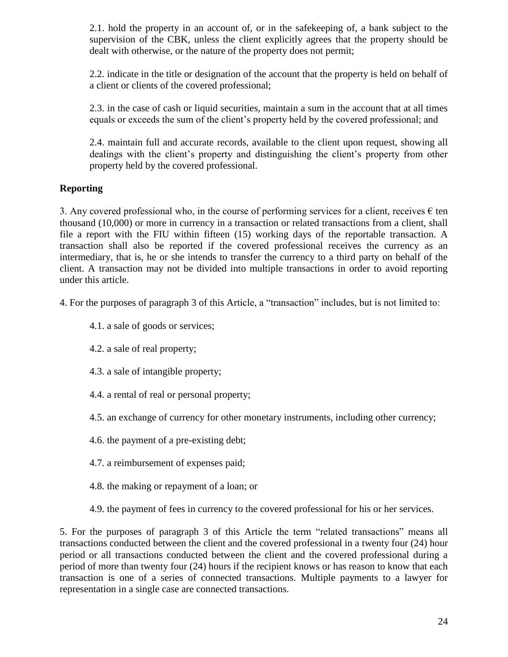2.1. hold the property in an account of, or in the safekeeping of, a bank subject to the supervision of the CBK, unless the client explicitly agrees that the property should be dealt with otherwise, or the nature of the property does not permit;

2.2. indicate in the title or designation of the account that the property is held on behalf of a client or clients of the covered professional;

2.3. in the case of cash or liquid securities, maintain a sum in the account that at all times equals or exceeds the sum of the client's property held by the covered professional; and

2.4. maintain full and accurate records, available to the client upon request, showing all dealings with the client's property and distinguishing the client's property from other property held by the covered professional.

# **Reporting**

3. Any covered professional who, in the course of performing services for a client, receives  $\epsilon$  ten thousand (10,000) or more in currency in a transaction or related transactions from a client, shall file a report with the FIU within fifteen (15) working days of the reportable transaction. A transaction shall also be reported if the covered professional receives the currency as an intermediary, that is, he or she intends to transfer the currency to a third party on behalf of the client. A transaction may not be divided into multiple transactions in order to avoid reporting under this article.

4. For the purposes of paragraph 3 of this Article, a "transaction" includes, but is not limited to:

- 4.1. a sale of goods or services;
- 4.2. a sale of real property;
- 4.3. a sale of intangible property;
- 4.4. a rental of real or personal property;
- 4.5. an exchange of currency for other monetary instruments, including other currency;
- 4.6. the payment of a pre-existing debt;
- 4.7. a reimbursement of expenses paid;
- 4.8. the making or repayment of a loan; or
- 4.9. the payment of fees in currency to the covered professional for his or her services.

5. For the purposes of paragraph 3 of this Article the term "related transactions" means all transactions conducted between the client and the covered professional in a twenty four (24) hour period or all transactions conducted between the client and the covered professional during a period of more than twenty four (24) hours if the recipient knows or has reason to know that each transaction is one of a series of connected transactions. Multiple payments to a lawyer for representation in a single case are connected transactions.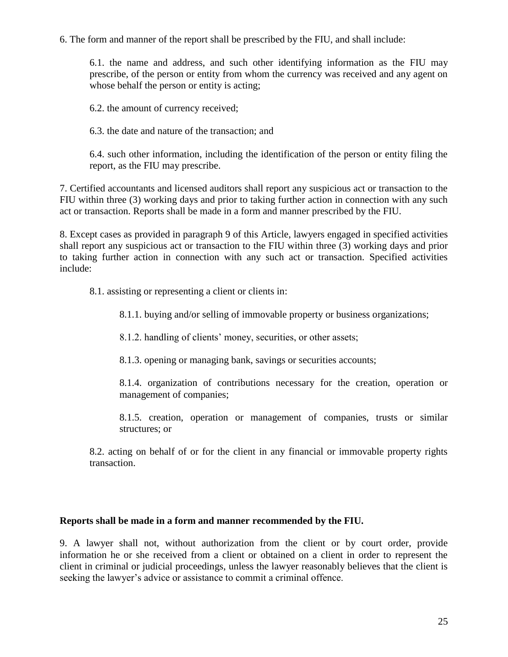6. The form and manner of the report shall be prescribed by the FIU, and shall include:

6.1. the name and address, and such other identifying information as the FIU may prescribe, of the person or entity from whom the currency was received and any agent on whose behalf the person or entity is acting;

6.2. the amount of currency received;

6.3. the date and nature of the transaction; and

6.4. such other information, including the identification of the person or entity filing the report, as the FIU may prescribe.

7. Certified accountants and licensed auditors shall report any suspicious act or transaction to the FIU within three (3) working days and prior to taking further action in connection with any such act or transaction. Reports shall be made in a form and manner prescribed by the FIU.

8. Except cases as provided in paragraph 9 of this Article, lawyers engaged in specified activities shall report any suspicious act or transaction to the FIU within three (3) working days and prior to taking further action in connection with any such act or transaction. Specified activities include:

8.1. assisting or representing a client or clients in:

8.1.1. buying and/or selling of immovable property or business organizations;

8.1.2. handling of clients' money, securities, or other assets;

8.1.3. opening or managing bank, savings or securities accounts;

8.1.4. organization of contributions necessary for the creation, operation or management of companies;

8.1.5. creation, operation or management of companies, trusts or similar structures; or

8.2. acting on behalf of or for the client in any financial or immovable property rights transaction.

### **Reports shall be made in a form and manner recommended by the FIU.**

9. A lawyer shall not, without authorization from the client or by court order, provide information he or she received from a client or obtained on a client in order to represent the client in criminal or judicial proceedings, unless the lawyer reasonably believes that the client is seeking the lawyer's advice or assistance to commit a criminal offence.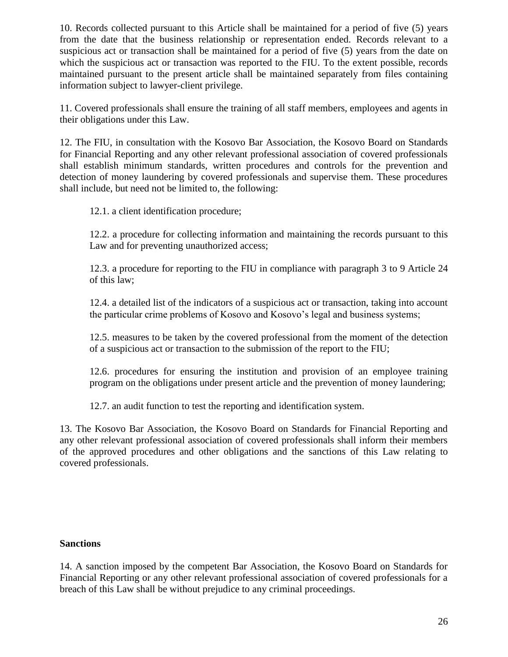10. Records collected pursuant to this Article shall be maintained for a period of five (5) years from the date that the business relationship or representation ended. Records relevant to a suspicious act or transaction shall be maintained for a period of five (5) years from the date on which the suspicious act or transaction was reported to the FIU. To the extent possible, records maintained pursuant to the present article shall be maintained separately from files containing information subject to lawyer-client privilege.

11. Covered professionals shall ensure the training of all staff members, employees and agents in their obligations under this Law.

12. The FIU, in consultation with the Kosovo Bar Association, the Kosovo Board on Standards for Financial Reporting and any other relevant professional association of covered professionals shall establish minimum standards, written procedures and controls for the prevention and detection of money laundering by covered professionals and supervise them. These procedures shall include, but need not be limited to, the following:

12.1. a client identification procedure;

12.2. a procedure for collecting information and maintaining the records pursuant to this Law and for preventing unauthorized access;

12.3. a procedure for reporting to the FIU in compliance with paragraph 3 to 9 Article 24 of this law;

12.4. a detailed list of the indicators of a suspicious act or transaction, taking into account the particular crime problems of Kosovo and Kosovo's legal and business systems;

12.5. measures to be taken by the covered professional from the moment of the detection of a suspicious act or transaction to the submission of the report to the FIU;

12.6. procedures for ensuring the institution and provision of an employee training program on the obligations under present article and the prevention of money laundering;

12.7. an audit function to test the reporting and identification system.

13. The Kosovo Bar Association, the Kosovo Board on Standards for Financial Reporting and any other relevant professional association of covered professionals shall inform their members of the approved procedures and other obligations and the sanctions of this Law relating to covered professionals.

### **Sanctions**

14. A sanction imposed by the competent Bar Association, the Kosovo Board on Standards for Financial Reporting or any other relevant professional association of covered professionals for a breach of this Law shall be without prejudice to any criminal proceedings.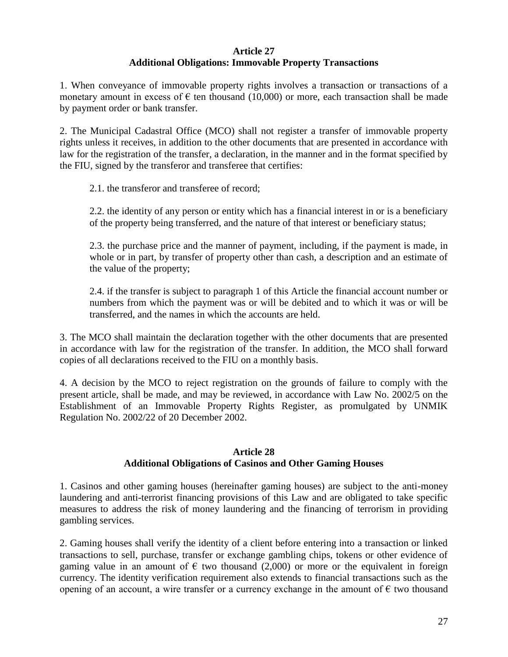### **Article 27 Additional Obligations: Immovable Property Transactions**

1. When conveyance of immovable property rights involves a transaction or transactions of a monetary amount in excess of  $\epsilon$  ten thousand (10,000) or more, each transaction shall be made by payment order or bank transfer.

2. The Municipal Cadastral Office (MCO) shall not register a transfer of immovable property rights unless it receives, in addition to the other documents that are presented in accordance with law for the registration of the transfer, a declaration, in the manner and in the format specified by the FIU, signed by the transferor and transferee that certifies:

2.1. the transferor and transferee of record;

2.2. the identity of any person or entity which has a financial interest in or is a beneficiary of the property being transferred, and the nature of that interest or beneficiary status;

2.3. the purchase price and the manner of payment, including, if the payment is made, in whole or in part, by transfer of property other than cash, a description and an estimate of the value of the property;

2.4. if the transfer is subject to paragraph 1 of this Article the financial account number or numbers from which the payment was or will be debited and to which it was or will be transferred, and the names in which the accounts are held.

3. The MCO shall maintain the declaration together with the other documents that are presented in accordance with law for the registration of the transfer. In addition, the MCO shall forward copies of all declarations received to the FIU on a monthly basis.

4. A decision by the MCO to reject registration on the grounds of failure to comply with the present article, shall be made, and may be reviewed, in accordance with Law No. 2002/5 on the Establishment of an Immovable Property Rights Register, as promulgated by UNMIK Regulation No. 2002/22 of 20 December 2002.

### **Article 28 Additional Obligations of Casinos and Other Gaming Houses**

1. Casinos and other gaming houses (hereinafter gaming houses) are subject to the anti-money laundering and anti-terrorist financing provisions of this Law and are obligated to take specific measures to address the risk of money laundering and the financing of terrorism in providing gambling services.

2. Gaming houses shall verify the identity of a client before entering into a transaction or linked transactions to sell, purchase, transfer or exchange gambling chips, tokens or other evidence of gaming value in an amount of  $\epsilon$  two thousand (2,000) or more or the equivalent in foreign currency. The identity verification requirement also extends to financial transactions such as the opening of an account, a wire transfer or a currency exchange in the amount of  $\epsilon$  two thousand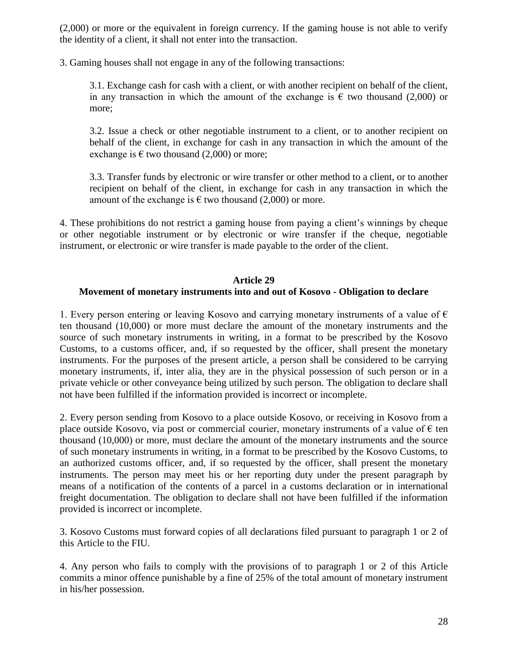(2,000) or more or the equivalent in foreign currency. If the gaming house is not able to verify the identity of a client, it shall not enter into the transaction.

3. Gaming houses shall not engage in any of the following transactions:

3.1. Exchange cash for cash with a client, or with another recipient on behalf of the client, in any transaction in which the amount of the exchange is  $\epsilon$  two thousand (2,000) or more;

3.2. Issue a check or other negotiable instrument to a client, or to another recipient on behalf of the client, in exchange for cash in any transaction in which the amount of the exchange is  $\epsilon$  two thousand (2,000) or more;

3.3. Transfer funds by electronic or wire transfer or other method to a client, or to another recipient on behalf of the client, in exchange for cash in any transaction in which the amount of the exchange is  $\epsilon$  two thousand (2,000) or more.

4. These prohibitions do not restrict a gaming house from paying a client's winnings by cheque or other negotiable instrument or by electronic or wire transfer if the cheque, negotiable instrument, or electronic or wire transfer is made payable to the order of the client.

## **Article 29 Movement of monetary instruments into and out of Kosovo - Obligation to declare**

1. Every person entering or leaving Kosovo and carrying monetary instruments of a value of  $\epsilon$ ten thousand (10,000) or more must declare the amount of the monetary instruments and the source of such monetary instruments in writing, in a format to be prescribed by the Kosovo Customs, to a customs officer, and, if so requested by the officer, shall present the monetary instruments. For the purposes of the present article, a person shall be considered to be carrying monetary instruments, if, inter alia, they are in the physical possession of such person or in a private vehicle or other conveyance being utilized by such person. The obligation to declare shall not have been fulfilled if the information provided is incorrect or incomplete.

2. Every person sending from Kosovo to a place outside Kosovo, or receiving in Kosovo from a place outside Kosovo, via post or commercial courier, monetary instruments of a value of  $\epsilon$  ten thousand (10,000) or more, must declare the amount of the monetary instruments and the source of such monetary instruments in writing, in a format to be prescribed by the Kosovo Customs, to an authorized customs officer, and, if so requested by the officer, shall present the monetary instruments. The person may meet his or her reporting duty under the present paragraph by means of a notification of the contents of a parcel in a customs declaration or in international freight documentation. The obligation to declare shall not have been fulfilled if the information provided is incorrect or incomplete.

3. Kosovo Customs must forward copies of all declarations filed pursuant to paragraph 1 or 2 of this Article to the FIU.

4. Any person who fails to comply with the provisions of to paragraph 1 or 2 of this Article commits a minor offence punishable by a fine of 25% of the total amount of monetary instrument in his/her possession.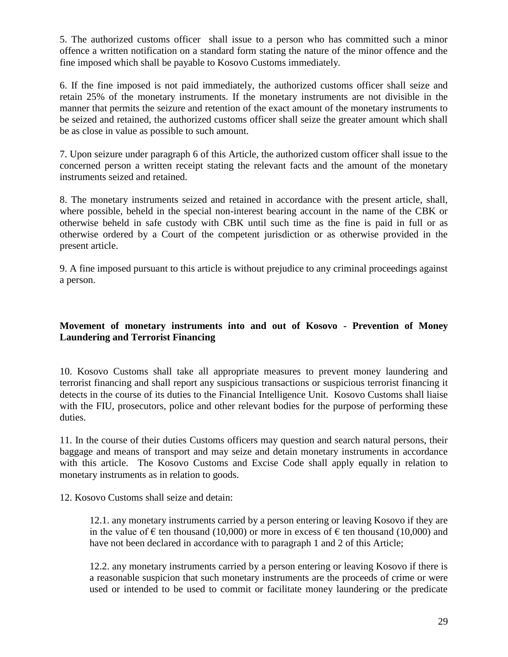5. The authorized customs officer shall issue to a person who has committed such a minor offence a written notification on a standard form stating the nature of the minor offence and the fine imposed which shall be payable to Kosovo Customs immediately.

6. If the fine imposed is not paid immediately, the authorized customs officer shall seize and retain 25% of the monetary instruments. If the monetary instruments are not divisible in the manner that permits the seizure and retention of the exact amount of the monetary instruments to be seized and retained, the authorized customs officer shall seize the greater amount which shall be as close in value as possible to such amount.

7. Upon seizure under paragraph 6 of this Article, the authorized custom officer shall issue to the concerned person a written receipt stating the relevant facts and the amount of the monetary instruments seized and retained.

8. The monetary instruments seized and retained in accordance with the present article, shall, where possible, beheld in the special non-interest bearing account in the name of the CBK or otherwise beheld in safe custody with CBK until such time as the fine is paid in full or as otherwise ordered by a Court of the competent jurisdiction or as otherwise provided in the present article.

9. A fine imposed pursuant to this article is without prejudice to any criminal proceedings against a person.

# **Movement of monetary instruments into and out of Kosovo - Prevention of Money Laundering and Terrorist Financing**

10. Kosovo Customs shall take all appropriate measures to prevent money laundering and terrorist financing and shall report any suspicious transactions or suspicious terrorist financing it detects in the course of its duties to the Financial Intelligence Unit. Kosovo Customs shall liaise with the FIU, prosecutors, police and other relevant bodies for the purpose of performing these duties.

11. In the course of their duties Customs officers may question and search natural persons, their baggage and means of transport and may seize and detain monetary instruments in accordance with this article. The Kosovo Customs and Excise Code shall apply equally in relation to monetary instruments as in relation to goods.

12. Kosovo Customs shall seize and detain:

12.1. any monetary instruments carried by a person entering or leaving Kosovo if they are in the value of  $\epsilon$  ten thousand (10,000) or more in excess of  $\epsilon$  ten thousand (10,000) and have not been declared in accordance with to paragraph 1 and 2 of this Article;

12.2. any monetary instruments carried by a person entering or leaving Kosovo if there is a reasonable suspicion that such monetary instruments are the proceeds of crime or were used or intended to be used to commit or facilitate money laundering or the predicate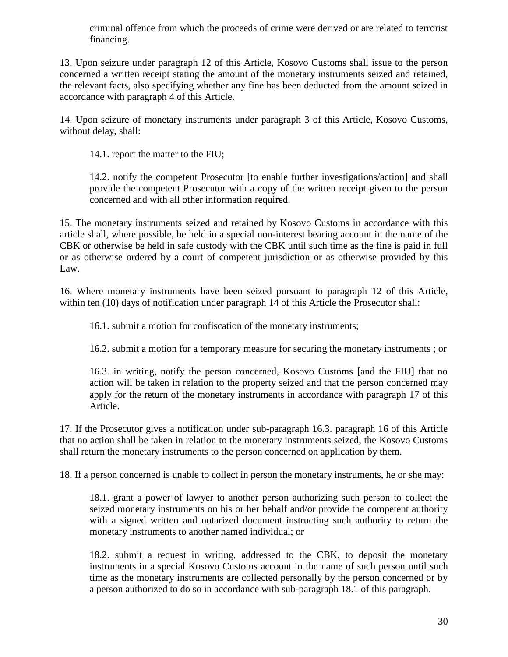criminal offence from which the proceeds of crime were derived or are related to terrorist financing.

13. Upon seizure under paragraph 12 of this Article, Kosovo Customs shall issue to the person concerned a written receipt stating the amount of the monetary instruments seized and retained, the relevant facts, also specifying whether any fine has been deducted from the amount seized in accordance with paragraph 4 of this Article.

14. Upon seizure of monetary instruments under paragraph 3 of this Article, Kosovo Customs, without delay, shall:

14.1. report the matter to the FIU;

14.2. notify the competent Prosecutor [to enable further investigations/action] and shall provide the competent Prosecutor with a copy of the written receipt given to the person concerned and with all other information required.

15. The monetary instruments seized and retained by Kosovo Customs in accordance with this article shall, where possible, be held in a special non-interest bearing account in the name of the CBK or otherwise be held in safe custody with the CBK until such time as the fine is paid in full or as otherwise ordered by a court of competent jurisdiction or as otherwise provided by this Law.

16. Where monetary instruments have been seized pursuant to paragraph 12 of this Article, within ten (10) days of notification under paragraph 14 of this Article the Prosecutor shall:

16.1. submit a motion for confiscation of the monetary instruments;

16.2. submit a motion for a temporary measure for securing the monetary instruments ; or

16.3. in writing, notify the person concerned, Kosovo Customs [and the FIU] that no action will be taken in relation to the property seized and that the person concerned may apply for the return of the monetary instruments in accordance with paragraph 17 of this Article.

17. If the Prosecutor gives a notification under sub-paragraph 16.3. paragraph 16 of this Article that no action shall be taken in relation to the monetary instruments seized, the Kosovo Customs shall return the monetary instruments to the person concerned on application by them.

18. If a person concerned is unable to collect in person the monetary instruments, he or she may:

18.1. grant a power of lawyer to another person authorizing such person to collect the seized monetary instruments on his or her behalf and/or provide the competent authority with a signed written and notarized document instructing such authority to return the monetary instruments to another named individual; or

18.2. submit a request in writing, addressed to the CBK, to deposit the monetary instruments in a special Kosovo Customs account in the name of such person until such time as the monetary instruments are collected personally by the person concerned or by a person authorized to do so in accordance with sub-paragraph 18.1 of this paragraph.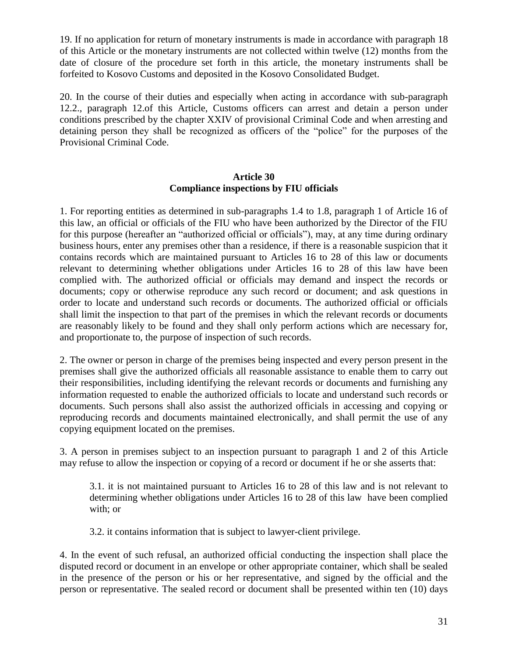19. If no application for return of monetary instruments is made in accordance with paragraph 18 of this Article or the monetary instruments are not collected within twelve (12) months from the date of closure of the procedure set forth in this article, the monetary instruments shall be forfeited to Kosovo Customs and deposited in the Kosovo Consolidated Budget.

20. In the course of their duties and especially when acting in accordance with sub-paragraph 12.2., paragraph 12.of this Article, Customs officers can arrest and detain a person under conditions prescribed by the chapter XXIV of provisional Criminal Code and when arresting and detaining person they shall be recognized as officers of the "police" for the purposes of the Provisional Criminal Code.

### **Article 30 Compliance inspections by FIU officials**

1. For reporting entities as determined in sub-paragraphs 1.4 to 1.8, paragraph 1 of Article 16 of this law, an official or officials of the FIU who have been authorized by the Director of the FIU for this purpose (hereafter an "authorized official or officials"), may, at any time during ordinary business hours, enter any premises other than a residence, if there is a reasonable suspicion that it contains records which are maintained pursuant to Articles 16 to 28 of this law or documents relevant to determining whether obligations under Articles 16 to 28 of this law have been complied with. The authorized official or officials may demand and inspect the records or documents; copy or otherwise reproduce any such record or document; and ask questions in order to locate and understand such records or documents. The authorized official or officials shall limit the inspection to that part of the premises in which the relevant records or documents are reasonably likely to be found and they shall only perform actions which are necessary for, and proportionate to, the purpose of inspection of such records.

2. The owner or person in charge of the premises being inspected and every person present in the premises shall give the authorized officials all reasonable assistance to enable them to carry out their responsibilities, including identifying the relevant records or documents and furnishing any information requested to enable the authorized officials to locate and understand such records or documents. Such persons shall also assist the authorized officials in accessing and copying or reproducing records and documents maintained electronically, and shall permit the use of any copying equipment located on the premises.

3. A person in premises subject to an inspection pursuant to paragraph 1 and 2 of this Article may refuse to allow the inspection or copying of a record or document if he or she asserts that:

3.1. it is not maintained pursuant to Articles 16 to 28 of this law and is not relevant to determining whether obligations under Articles 16 to 28 of this law have been complied with; or

3.2. it contains information that is subject to lawyer-client privilege.

4. In the event of such refusal, an authorized official conducting the inspection shall place the disputed record or document in an envelope or other appropriate container, which shall be sealed in the presence of the person or his or her representative, and signed by the official and the person or representative. The sealed record or document shall be presented within ten (10) days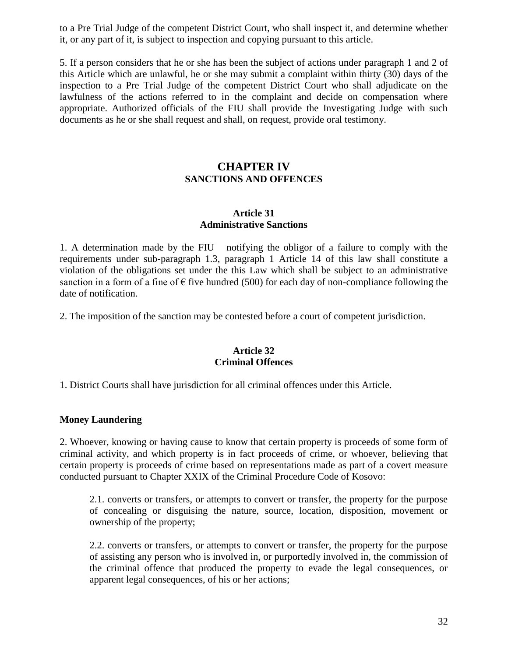to a Pre Trial Judge of the competent District Court, who shall inspect it, and determine whether it, or any part of it, is subject to inspection and copying pursuant to this article.

5. If a person considers that he or she has been the subject of actions under paragraph 1 and 2 of this Article which are unlawful, he or she may submit a complaint within thirty (30) days of the inspection to a Pre Trial Judge of the competent District Court who shall adjudicate on the lawfulness of the actions referred to in the complaint and decide on compensation where appropriate. Authorized officials of the FIU shall provide the Investigating Judge with such documents as he or she shall request and shall, on request, provide oral testimony.

# **CHAPTER IV SANCTIONS AND OFFENCES**

#### **Article 31 Administrative Sanctions**

1. A determination made by the FIU notifying the obligor of a failure to comply with the requirements under sub-paragraph 1.3, paragraph 1 Article 14 of this law shall constitute a violation of the obligations set under the this Law which shall be subject to an administrative sanction in a form of a fine of  $\epsilon$  five hundred (500) for each day of non-compliance following the date of notification.

2. The imposition of the sanction may be contested before a court of competent jurisdiction.

### **Article 32 Criminal Offences**

1. District Courts shall have jurisdiction for all criminal offences under this Article.

### **Money Laundering**

2. Whoever, knowing or having cause to know that certain property is proceeds of some form of criminal activity, and which property is in fact proceeds of crime, or whoever, believing that certain property is proceeds of crime based on representations made as part of a covert measure conducted pursuant to Chapter XXIX of the Criminal Procedure Code of Kosovo:

2.1. converts or transfers, or attempts to convert or transfer, the property for the purpose of concealing or disguising the nature, source, location, disposition, movement or ownership of the property;

2.2. converts or transfers, or attempts to convert or transfer, the property for the purpose of assisting any person who is involved in, or purportedly involved in, the commission of the criminal offence that produced the property to evade the legal consequences, or apparent legal consequences, of his or her actions;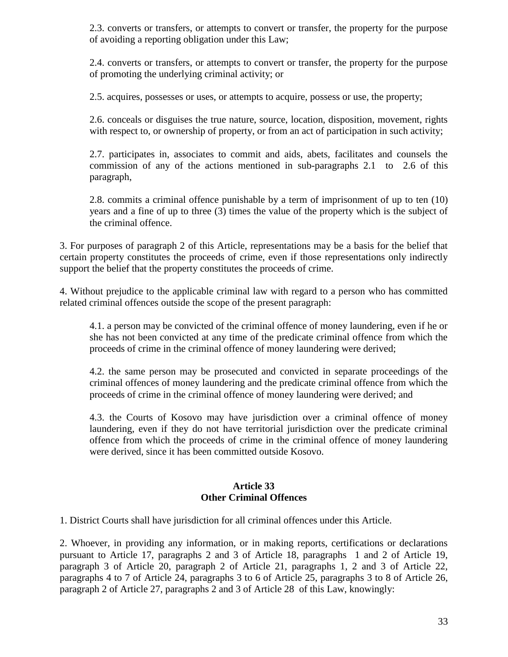2.3. converts or transfers, or attempts to convert or transfer, the property for the purpose of avoiding a reporting obligation under this Law;

2.4. converts or transfers, or attempts to convert or transfer, the property for the purpose of promoting the underlying criminal activity; or

2.5. acquires, possesses or uses, or attempts to acquire, possess or use, the property;

2.6. conceals or disguises the true nature, source, location, disposition, movement, rights with respect to, or ownership of property, or from an act of participation in such activity;

2.7. participates in, associates to commit and aids, abets, facilitates and counsels the commission of any of the actions mentioned in sub-paragraphs 2.1 to 2.6 of this paragraph,

2.8. commits a criminal offence punishable by a term of imprisonment of up to ten (10) years and a fine of up to three (3) times the value of the property which is the subject of the criminal offence.

3. For purposes of paragraph 2 of this Article, representations may be a basis for the belief that certain property constitutes the proceeds of crime, even if those representations only indirectly support the belief that the property constitutes the proceeds of crime.

4. Without prejudice to the applicable criminal law with regard to a person who has committed related criminal offences outside the scope of the present paragraph:

4.1. a person may be convicted of the criminal offence of money laundering, even if he or she has not been convicted at any time of the predicate criminal offence from which the proceeds of crime in the criminal offence of money laundering were derived;

4.2. the same person may be prosecuted and convicted in separate proceedings of the criminal offences of money laundering and the predicate criminal offence from which the proceeds of crime in the criminal offence of money laundering were derived; and

4.3. the Courts of Kosovo may have jurisdiction over a criminal offence of money laundering, even if they do not have territorial jurisdiction over the predicate criminal offence from which the proceeds of crime in the criminal offence of money laundering were derived, since it has been committed outside Kosovo.

### **Article 33 Other Criminal Offences**

1. District Courts shall have jurisdiction for all criminal offences under this Article.

2. Whoever, in providing any information, or in making reports, certifications or declarations pursuant to Article 17, paragraphs 2 and 3 of Article 18, paragraphs 1 and 2 of Article 19, paragraph 3 of Article 20, paragraph 2 of Article 21, paragraphs 1, 2 and 3 of Article 22, paragraphs 4 to 7 of Article 24, paragraphs 3 to 6 of Article 25, paragraphs 3 to 8 of Article 26, paragraph 2 of Article 27, paragraphs 2 and 3 of Article 28 of this Law, knowingly: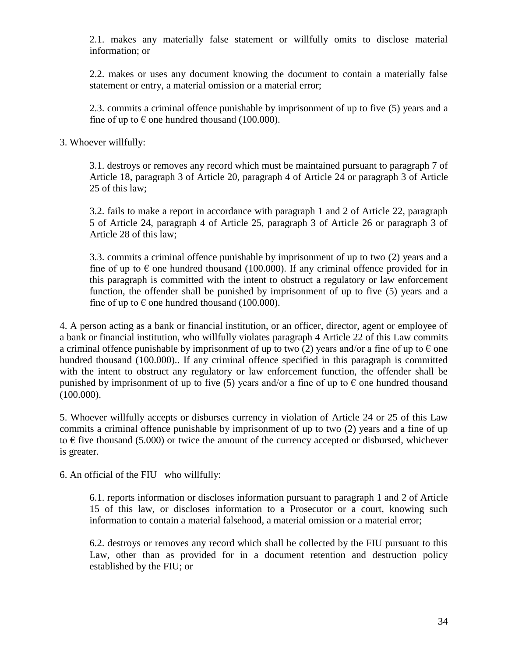2.1. makes any materially false statement or willfully omits to disclose material information; or

2.2. makes or uses any document knowing the document to contain a materially false statement or entry, a material omission or a material error;

2.3. commits a criminal offence punishable by imprisonment of up to five (5) years and a fine of up to  $\epsilon$  one hundred thousand (100.000).

3. Whoever willfully:

3.1. destroys or removes any record which must be maintained pursuant to paragraph 7 of Article 18, paragraph 3 of Article 20, paragraph 4 of Article 24 or paragraph 3 of Article 25 of this law;

3.2. fails to make a report in accordance with paragraph 1 and 2 of Article 22, paragraph 5 of Article 24, paragraph 4 of Article 25, paragraph 3 of Article 26 or paragraph 3 of Article 28 of this law;

3.3. commits a criminal offence punishable by imprisonment of up to two (2) years and a fine of up to  $\epsilon$  one hundred thousand (100.000). If any criminal offence provided for in this paragraph is committed with the intent to obstruct a regulatory or law enforcement function, the offender shall be punished by imprisonment of up to five (5) years and a fine of up to  $\epsilon$  one hundred thousand (100.000).

4. A person acting as a bank or financial institution, or an officer, director, agent or employee of a bank or financial institution, who willfully violates paragraph 4 Article 22 of this Law commits a criminal offence punishable by imprisonment of up to two (2) years and/or a fine of up to  $\epsilon$  one hundred thousand (100.000).. If any criminal offence specified in this paragraph is committed with the intent to obstruct any regulatory or law enforcement function, the offender shall be punished by imprisonment of up to five (5) years and/or a fine of up to  $\epsilon$  one hundred thousand (100.000).

5. Whoever willfully accepts or disburses currency in violation of Article 24 or 25 of this Law commits a criminal offence punishable by imprisonment of up to two (2) years and a fine of up to  $\epsilon$  five thousand (5.000) or twice the amount of the currency accepted or disbursed, whichever is greater.

6. An official of the FIU who willfully:

6.1. reports information or discloses information pursuant to paragraph 1 and 2 of Article 15 of this law, or discloses information to a Prosecutor or a court, knowing such information to contain a material falsehood, a material omission or a material error;

6.2. destroys or removes any record which shall be collected by the FIU pursuant to this Law, other than as provided for in a document retention and destruction policy established by the FIU; or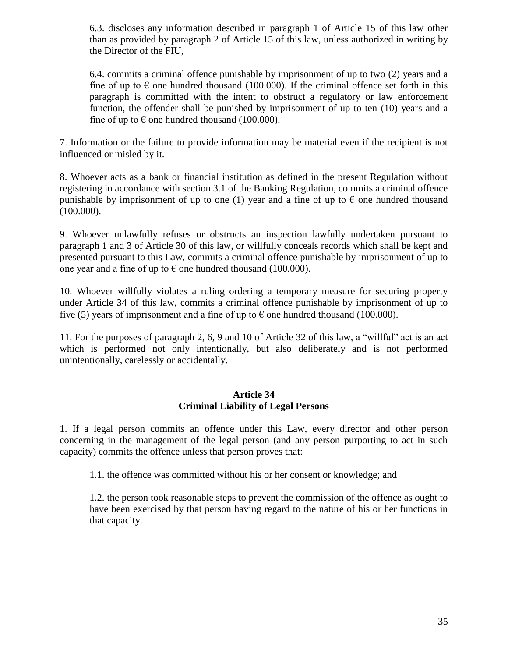6.3. discloses any information described in paragraph 1 of Article 15 of this law other than as provided by paragraph 2 of Article 15 of this law, unless authorized in writing by the Director of the FIU,

6.4. commits a criminal offence punishable by imprisonment of up to two (2) years and a fine of up to  $\epsilon$  one hundred thousand (100.000). If the criminal offence set forth in this paragraph is committed with the intent to obstruct a regulatory or law enforcement function, the offender shall be punished by imprisonment of up to ten (10) years and a fine of up to  $\epsilon$  one hundred thousand (100.000).

7. Information or the failure to provide information may be material even if the recipient is not influenced or misled by it.

8. Whoever acts as a bank or financial institution as defined in the present Regulation without registering in accordance with section 3.1 of the Banking Regulation, commits a criminal offence punishable by imprisonment of up to one (1) year and a fine of up to  $\epsilon$  one hundred thousand (100.000).

9. Whoever unlawfully refuses or obstructs an inspection lawfully undertaken pursuant to paragraph 1 and 3 of Article 30 of this law, or willfully conceals records which shall be kept and presented pursuant to this Law, commits a criminal offence punishable by imprisonment of up to one year and a fine of up to  $\epsilon$  one hundred thousand (100.000).

10. Whoever willfully violates a ruling ordering a temporary measure for securing property under Article 34 of this law, commits a criminal offence punishable by imprisonment of up to five (5) years of imprisonment and a fine of up to  $\epsilon$  one hundred thousand (100.000).

11. For the purposes of paragraph 2, 6, 9 and 10 of Article 32 of this law, a "willful" act is an act which is performed not only intentionally, but also deliberately and is not performed unintentionally, carelessly or accidentally.

### **Article 34 Criminal Liability of Legal Persons**

1. If a legal person commits an offence under this Law, every director and other person concerning in the management of the legal person (and any person purporting to act in such capacity) commits the offence unless that person proves that:

1.1. the offence was committed without his or her consent or knowledge; and

1.2. the person took reasonable steps to prevent the commission of the offence as ought to have been exercised by that person having regard to the nature of his or her functions in that capacity.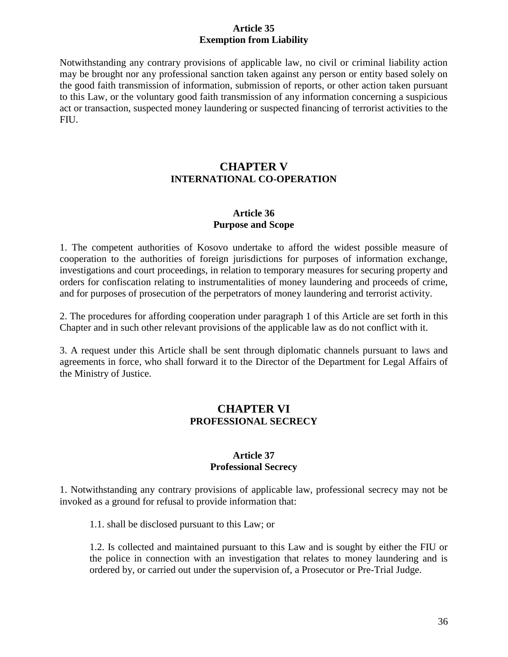### **Article 35 Exemption from Liability**

Notwithstanding any contrary provisions of applicable law, no civil or criminal liability action may be brought nor any professional sanction taken against any person or entity based solely on the good faith transmission of information, submission of reports, or other action taken pursuant to this Law, or the voluntary good faith transmission of any information concerning a suspicious act or transaction, suspected money laundering or suspected financing of terrorist activities to the FIU.

# **CHAPTER V INTERNATIONAL CO-OPERATION**

### **Article 36 Purpose and Scope**

1. The competent authorities of Kosovo undertake to afford the widest possible measure of cooperation to the authorities of foreign jurisdictions for purposes of information exchange, investigations and court proceedings, in relation to temporary measures for securing property and orders for confiscation relating to instrumentalities of money laundering and proceeds of crime, and for purposes of prosecution of the perpetrators of money laundering and terrorist activity.

2. The procedures for affording cooperation under paragraph 1 of this Article are set forth in this Chapter and in such other relevant provisions of the applicable law as do not conflict with it.

3. A request under this Article shall be sent through diplomatic channels pursuant to laws and agreements in force, who shall forward it to the Director of the Department for Legal Affairs of the Ministry of Justice.

# **CHAPTER VI PROFESSIONAL SECRECY**

### **Article 37 Professional Secrecy**

1. Notwithstanding any contrary provisions of applicable law, professional secrecy may not be invoked as a ground for refusal to provide information that:

1.1. shall be disclosed pursuant to this Law; or

1.2. Is collected and maintained pursuant to this Law and is sought by either the FIU or the police in connection with an investigation that relates to money laundering and is ordered by, or carried out under the supervision of, a Prosecutor or Pre-Trial Judge.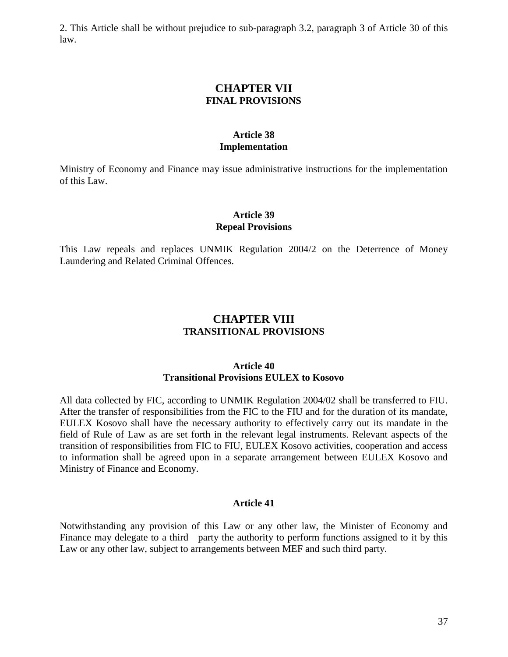2. This Article shall be without prejudice to sub-paragraph 3.2, paragraph 3 of Article 30 of this law.

# **CHAPTER VII FINAL PROVISIONS**

### **Article 38 Implementation**

Ministry of Economy and Finance may issue administrative instructions for the implementation of this Law.

### **Article 39 Repeal Provisions**

This Law repeals and replaces UNMIK Regulation 2004/2 on the Deterrence of Money Laundering and Related Criminal Offences.

# **CHAPTER VIII TRANSITIONAL PROVISIONS**

#### **Article 40 Transitional Provisions EULEX to Kosovo**

All data collected by FIC, according to UNMIK Regulation 2004/02 shall be transferred to FIU. After the transfer of responsibilities from the FIC to the FIU and for the duration of its mandate, EULEX Kosovo shall have the necessary authority to effectively carry out its mandate in the field of Rule of Law as are set forth in the relevant legal instruments. Relevant aspects of the transition of responsibilities from FIC to FIU, EULEX Kosovo activities, cooperation and access to information shall be agreed upon in a separate arrangement between EULEX Kosovo and Ministry of Finance and Economy.

### **Article 41**

Notwithstanding any provision of this Law or any other law, the Minister of Economy and Finance may delegate to a third party the authority to perform functions assigned to it by this Law or any other law, subject to arrangements between MEF and such third party.